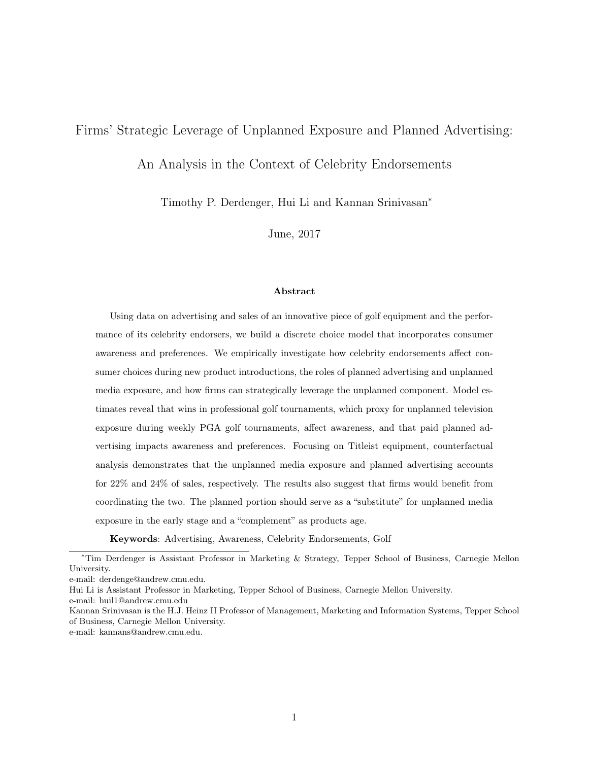## Firms' Strategic Leverage of Unplanned Exposure and Planned Advertising:

An Analysis in the Context of Celebrity Endorsements

Timothy P. Derdenger, Hui Li and Kannan Srinivasan<sup>∗</sup>

June, 2017

#### Abstract

Using data on advertising and sales of an innovative piece of golf equipment and the performance of its celebrity endorsers, we build a discrete choice model that incorporates consumer awareness and preferences. We empirically investigate how celebrity endorsements affect consumer choices during new product introductions, the roles of planned advertising and unplanned media exposure, and how firms can strategically leverage the unplanned component. Model estimates reveal that wins in professional golf tournaments, which proxy for unplanned television exposure during weekly PGA golf tournaments, affect awareness, and that paid planned advertising impacts awareness and preferences. Focusing on Titleist equipment, counterfactual analysis demonstrates that the unplanned media exposure and planned advertising accounts for 22% and 24% of sales, respectively. The results also suggest that firms would benefit from coordinating the two. The planned portion should serve as a "substitute" for unplanned media exposure in the early stage and a "complement" as products age.

Keywords: Advertising, Awareness, Celebrity Endorsements, Golf

e-mail: huil1@andrew.cmu.edu

<sup>∗</sup>Tim Derdenger is Assistant Professor in Marketing & Strategy, Tepper School of Business, Carnegie Mellon University.

e-mail: derdenge@andrew.cmu.edu.

Hui Li is Assistant Professor in Marketing, Tepper School of Business, Carnegie Mellon University.

Kannan Srinivasan is the H.J. Heinz II Professor of Management, Marketing and Information Systems, Tepper School of Business, Carnegie Mellon University.

e-mail: kannans@andrew.cmu.edu.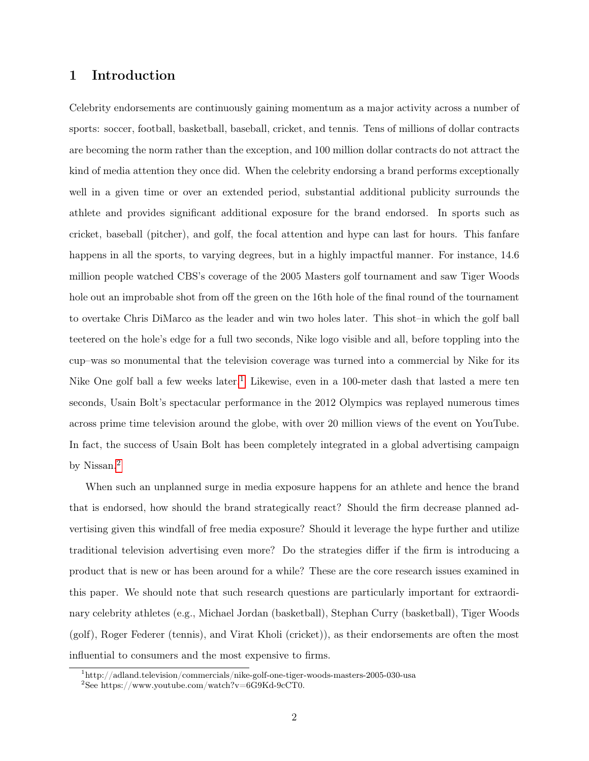## 1 Introduction

Celebrity endorsements are continuously gaining momentum as a major activity across a number of sports: soccer, football, basketball, baseball, cricket, and tennis. Tens of millions of dollar contracts are becoming the norm rather than the exception, and 100 million dollar contracts do not attract the kind of media attention they once did. When the celebrity endorsing a brand performs exceptionally well in a given time or over an extended period, substantial additional publicity surrounds the athlete and provides significant additional exposure for the brand endorsed. In sports such as cricket, baseball (pitcher), and golf, the focal attention and hype can last for hours. This fanfare happens in all the sports, to varying degrees, but in a highly impactful manner. For instance, 14.6 million people watched CBS's coverage of the 2005 Masters golf tournament and saw Tiger Woods hole out an improbable shot from off the green on the 16th hole of the final round of the tournament to overtake Chris DiMarco as the leader and win two holes later. This shot–in which the golf ball teetered on the hole's edge for a full two seconds, Nike logo visible and all, before toppling into the cup–was so monumental that the television coverage was turned into a commercial by Nike for its Nike One golf ball a few weeks later.<sup>[1](#page-1-0)</sup> Likewise, even in a 100-meter dash that lasted a mere ten seconds, Usain Bolt's spectacular performance in the 2012 Olympics was replayed numerous times across prime time television around the globe, with over 20 million views of the event on YouTube. In fact, the success of Usain Bolt has been completely integrated in a global advertising campaign by Nissan.[2](#page-1-1)

When such an unplanned surge in media exposure happens for an athlete and hence the brand that is endorsed, how should the brand strategically react? Should the firm decrease planned advertising given this windfall of free media exposure? Should it leverage the hype further and utilize traditional television advertising even more? Do the strategies differ if the firm is introducing a product that is new or has been around for a while? These are the core research issues examined in this paper. We should note that such research questions are particularly important for extraordinary celebrity athletes (e.g., Michael Jordan (basketball), Stephan Curry (basketball), Tiger Woods (golf), Roger Federer (tennis), and Virat Kholi (cricket)), as their endorsements are often the most influential to consumers and the most expensive to firms.

<span id="page-1-0"></span><sup>1</sup>http://adland.television/commercials/nike-golf-one-tiger-woods-masters-2005-030-usa

<span id="page-1-1"></span><sup>&</sup>lt;sup>2</sup>See https://www.youtube.com/watch?v=6G9Kd-9cCT0.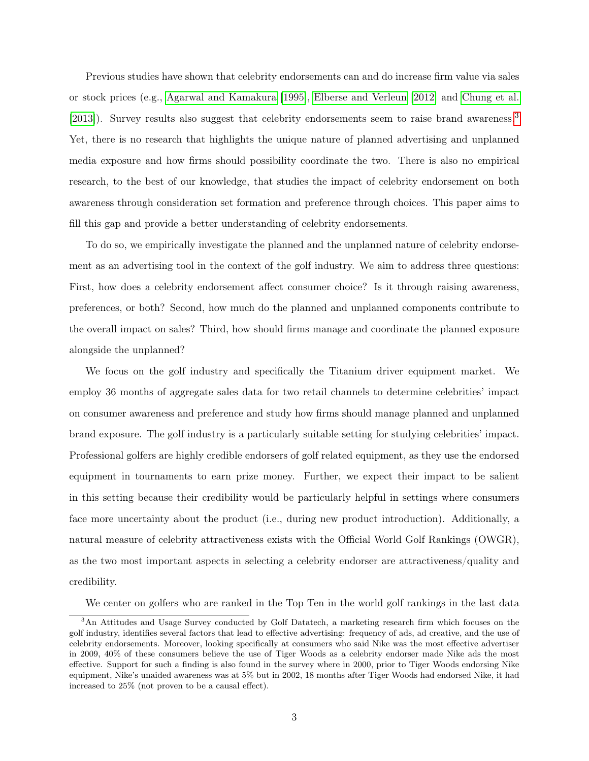Previous studies have shown that celebrity endorsements can and do increase firm value via sales or stock prices (e.g., [Agarwal and Kamakura](#page-46-0) [\[1995\]](#page-46-0), [Elberse and Verleun](#page-47-0) [\[2012\]](#page-47-0) and [Chung et al.](#page-47-1) [\[2013\]](#page-47-1)). Survey results also suggest that celebrity endorsements seem to raise brand awareness.<sup>[3](#page-2-0)</sup> Yet, there is no research that highlights the unique nature of planned advertising and unplanned media exposure and how firms should possibility coordinate the two. There is also no empirical research, to the best of our knowledge, that studies the impact of celebrity endorsement on both awareness through consideration set formation and preference through choices. This paper aims to fill this gap and provide a better understanding of celebrity endorsements.

To do so, we empirically investigate the planned and the unplanned nature of celebrity endorsement as an advertising tool in the context of the golf industry. We aim to address three questions: First, how does a celebrity endorsement affect consumer choice? Is it through raising awareness, preferences, or both? Second, how much do the planned and unplanned components contribute to the overall impact on sales? Third, how should firms manage and coordinate the planned exposure alongside the unplanned?

We focus on the golf industry and specifically the Titanium driver equipment market. We employ 36 months of aggregate sales data for two retail channels to determine celebrities' impact on consumer awareness and preference and study how firms should manage planned and unplanned brand exposure. The golf industry is a particularly suitable setting for studying celebrities' impact. Professional golfers are highly credible endorsers of golf related equipment, as they use the endorsed equipment in tournaments to earn prize money. Further, we expect their impact to be salient in this setting because their credibility would be particularly helpful in settings where consumers face more uncertainty about the product (i.e., during new product introduction). Additionally, a natural measure of celebrity attractiveness exists with the Official World Golf Rankings (OWGR), as the two most important aspects in selecting a celebrity endorser are attractiveness/quality and credibility.

<span id="page-2-0"></span>We center on golfers who are ranked in the Top Ten in the world golf rankings in the last data

<sup>3</sup>An Attitudes and Usage Survey conducted by Golf Datatech, a marketing research firm which focuses on the golf industry, identifies several factors that lead to effective advertising: frequency of ads, ad creative, and the use of celebrity endorsements. Moreover, looking specifically at consumers who said Nike was the most effective advertiser in 2009, 40% of these consumers believe the use of Tiger Woods as a celebrity endorser made Nike ads the most effective. Support for such a finding is also found in the survey where in 2000, prior to Tiger Woods endorsing Nike equipment, Nike's unaided awareness was at 5% but in 2002, 18 months after Tiger Woods had endorsed Nike, it had increased to 25% (not proven to be a causal effect).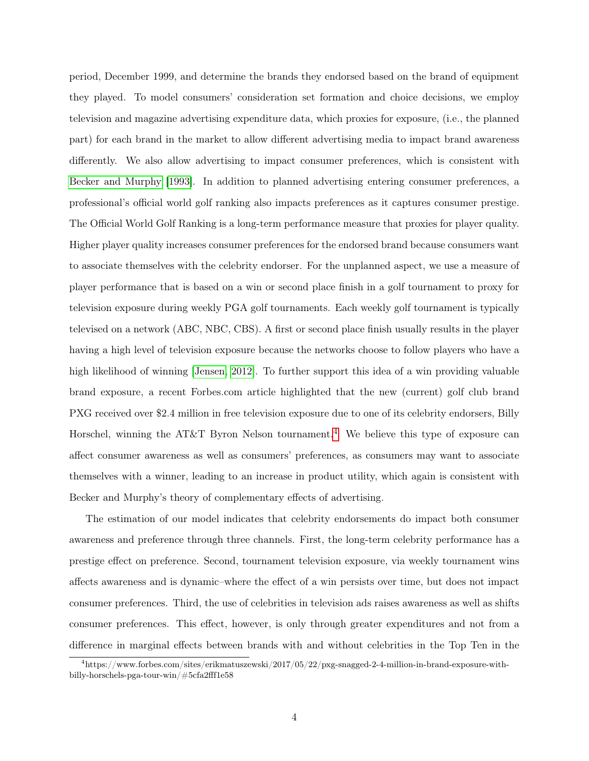period, December 1999, and determine the brands they endorsed based on the brand of equipment they played. To model consumers' consideration set formation and choice decisions, we employ television and magazine advertising expenditure data, which proxies for exposure, (i.e., the planned part) for each brand in the market to allow different advertising media to impact brand awareness differently. We also allow advertising to impact consumer preferences, which is consistent with [Becker and Murphy](#page-46-1) [\[1993\]](#page-46-1). In addition to planned advertising entering consumer preferences, a professional's official world golf ranking also impacts preferences as it captures consumer prestige. The Official World Golf Ranking is a long-term performance measure that proxies for player quality. Higher player quality increases consumer preferences for the endorsed brand because consumers want to associate themselves with the celebrity endorser. For the unplanned aspect, we use a measure of player performance that is based on a win or second place finish in a golf tournament to proxy for television exposure during weekly PGA golf tournaments. Each weekly golf tournament is typically televised on a network (ABC, NBC, CBS). A first or second place finish usually results in the player having a high level of television exposure because the networks choose to follow players who have a high likelihood of winning [\[Jensen, 2012\]](#page-48-0). To further support this idea of a win providing valuable brand exposure, a recent Forbes.com article highlighted that the new (current) golf club brand PXG received over \$2.4 million in free television exposure due to one of its celebrity endorsers, Billy Horschel, winning the AT&T Byron Nelson tournament.<sup>[4](#page-3-0)</sup> We believe this type of exposure can affect consumer awareness as well as consumers' preferences, as consumers may want to associate themselves with a winner, leading to an increase in product utility, which again is consistent with Becker and Murphy's theory of complementary effects of advertising.

The estimation of our model indicates that celebrity endorsements do impact both consumer awareness and preference through three channels. First, the long-term celebrity performance has a prestige effect on preference. Second, tournament television exposure, via weekly tournament wins affects awareness and is dynamic–where the effect of a win persists over time, but does not impact consumer preferences. Third, the use of celebrities in television ads raises awareness as well as shifts consumer preferences. This effect, however, is only through greater expenditures and not from a difference in marginal effects between brands with and without celebrities in the Top Ten in the

<span id="page-3-0"></span> $^{4}$ https://www.forbes.com/sites/erikmatuszewski/2017/05/22/pxg-snagged-2-4-million-in-brand-exposure-withbilly-horschels-pga-tour-win/#5cfa2fff1e58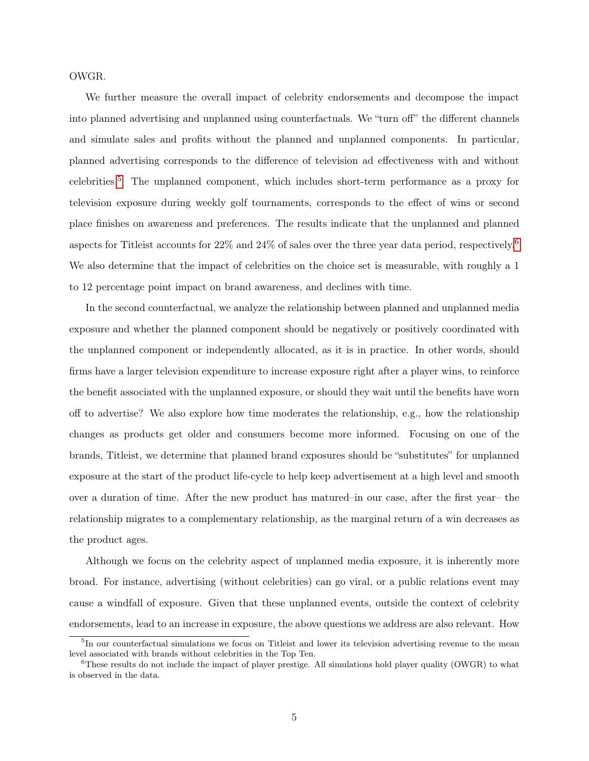OWGR.

We further measure the overall impact of celebrity endorsements and decompose the impact into planned advertising and unplanned using counterfactuals. We "turn off" the different channels and simulate sales and profits without the planned and unplanned components. In particular, planned advertising corresponds to the difference of television ad effectiveness with and without celebrities.[5](#page-4-0) The unplanned component, which includes short-term performance as a proxy for television exposure during weekly golf tournaments, corresponds to the effect of wins or second place finishes on awareness and preferences. The results indicate that the unplanned and planned aspects for Titleist accounts for  $22\%$  and  $24\%$  of sales over the three year data period, respectively.<sup>[6](#page-4-1)</sup> We also determine that the impact of celebrities on the choice set is measurable, with roughly a 1 to 12 percentage point impact on brand awareness, and declines with time.

In the second counterfactual, we analyze the relationship between planned and unplanned media exposure and whether the planned component should be negatively or positively coordinated with the unplanned component or independently allocated, as it is in practice. In other words, should firms have a larger television expenditure to increase exposure right after a player wins, to reinforce the benefit associated with the unplanned exposure, or should they wait until the benefits have worn off to advertise? We also explore how time moderates the relationship, e.g., how the relationship changes as products get older and consumers become more informed. Focusing on one of the brands, Titleist, we determine that planned brand exposures should be "substitutes" for unplanned exposure at the start of the product life-cycle to help keep advertisement at a high level and smooth over a duration of time. After the new product has matured–in our case, after the first year– the relationship migrates to a complementary relationship, as the marginal return of a win decreases as the product ages.

Although we focus on the celebrity aspect of unplanned media exposure, it is inherently more broad. For instance, advertising (without celebrities) can go viral, or a public relations event may cause a windfall of exposure. Given that these unplanned events, outside the context of celebrity endorsements, lead to an increase in exposure, the above questions we address are also relevant. How

<span id="page-4-0"></span><sup>&</sup>lt;sup>5</sup>In our counterfactual simulations we focus on Titleist and lower its television advertising revenue to the mean level associated with brands without celebrities in the Top Ten.

<span id="page-4-1"></span><sup>6</sup>These results do not include the impact of player prestige. All simulations hold player quality (OWGR) to what is observed in the data.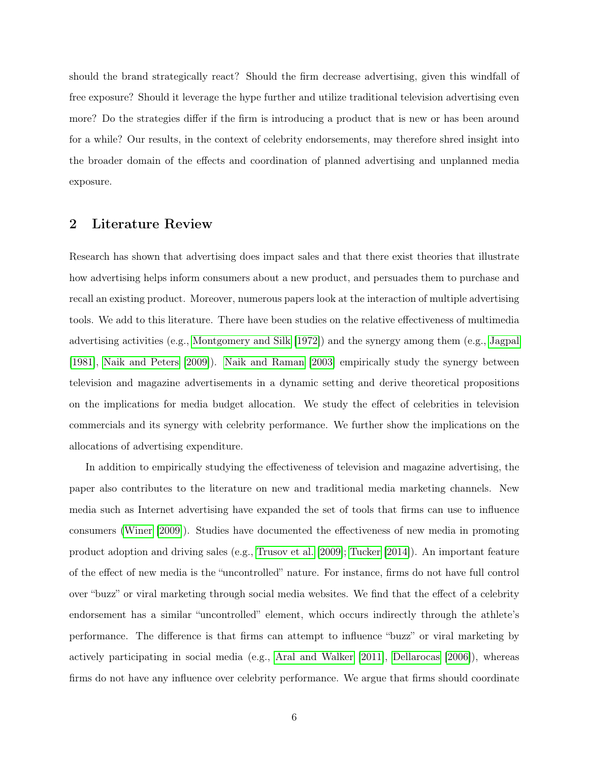should the brand strategically react? Should the firm decrease advertising, given this windfall of free exposure? Should it leverage the hype further and utilize traditional television advertising even more? Do the strategies differ if the firm is introducing a product that is new or has been around for a while? Our results, in the context of celebrity endorsements, may therefore shred insight into the broader domain of the effects and coordination of planned advertising and unplanned media exposure.

## 2 Literature Review

Research has shown that advertising does impact sales and that there exist theories that illustrate how advertising helps inform consumers about a new product, and persuades them to purchase and recall an existing product. Moreover, numerous papers look at the interaction of multiple advertising tools. We add to this literature. There have been studies on the relative effectiveness of multimedia advertising activities (e.g., [Montgomery and Silk](#page-48-1) [\[1972\]](#page-48-1)) and the synergy among them (e.g., [Jagpal](#page-47-2) [\[1981\]](#page-47-2), [Naik and Peters](#page-48-2) [\[2009\]](#page-48-2)). [Naik and Raman](#page-48-3) [\[2003\]](#page-48-3) empirically study the synergy between television and magazine advertisements in a dynamic setting and derive theoretical propositions on the implications for media budget allocation. We study the effect of celebrities in television commercials and its synergy with celebrity performance. We further show the implications on the allocations of advertising expenditure.

In addition to empirically studying the effectiveness of television and magazine advertising, the paper also contributes to the literature on new and traditional media marketing channels. New media such as Internet advertising have expanded the set of tools that firms can use to influence consumers [\(Winer](#page-49-0) [\[2009\]](#page-49-0)). Studies have documented the effectiveness of new media in promoting product adoption and driving sales (e.g., [Trusov et al.](#page-49-1) [\[2009\]](#page-49-1); [Tucker](#page-49-2) [\[2014\]](#page-49-2)). An important feature of the effect of new media is the "uncontrolled" nature. For instance, firms do not have full control over "buzz" or viral marketing through social media websites. We find that the effect of a celebrity endorsement has a similar "uncontrolled" element, which occurs indirectly through the athlete's performance. The difference is that firms can attempt to influence "buzz" or viral marketing by actively participating in social media (e.g., [Aral and Walker](#page-46-2) [\[2011\]](#page-46-2), [Dellarocas](#page-47-3) [\[2006\]](#page-47-3)), whereas firms do not have any influence over celebrity performance. We argue that firms should coordinate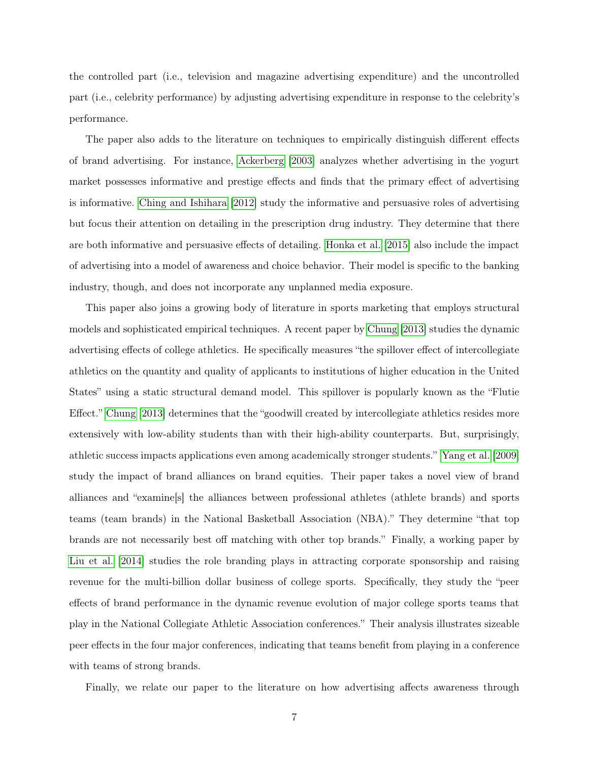the controlled part (i.e., television and magazine advertising expenditure) and the uncontrolled part (i.e., celebrity performance) by adjusting advertising expenditure in response to the celebrity's performance.

The paper also adds to the literature on techniques to empirically distinguish different effects of brand advertising. For instance, [Ackerberg](#page-46-3) [\[2003\]](#page-46-3) analyzes whether advertising in the yogurt market possesses informative and prestige effects and finds that the primary effect of advertising is informative. [Ching and Ishihara](#page-47-4) [\[2012\]](#page-47-4) study the informative and persuasive roles of advertising but focus their attention on detailing in the prescription drug industry. They determine that there are both informative and persuasive effects of detailing. [Honka et al.](#page-47-5) [\[2015\]](#page-47-5) also include the impact of advertising into a model of awareness and choice behavior. Their model is specific to the banking industry, though, and does not incorporate any unplanned media exposure.

This paper also joins a growing body of literature in sports marketing that employs structural models and sophisticated empirical techniques. A recent paper by [Chung](#page-47-6) [\[2013\]](#page-47-6) studies the dynamic advertising effects of college athletics. He specifically measures "the spillover effect of intercollegiate athletics on the quantity and quality of applicants to institutions of higher education in the United States" using a static structural demand model. This spillover is popularly known as the "Flutie Effect." [Chung](#page-47-6) [\[2013\]](#page-47-6) determines that the "goodwill created by intercollegiate athletics resides more extensively with low-ability students than with their high-ability counterparts. But, surprisingly, athletic success impacts applications even among academically stronger students." [Yang et al.](#page-49-3) [\[2009\]](#page-49-3) study the impact of brand alliances on brand equities. Their paper takes a novel view of brand alliances and "examine[s] the alliances between professional athletes (athlete brands) and sports teams (team brands) in the National Basketball Association (NBA)." They determine "that top brands are not necessarily best off matching with other top brands." Finally, a working paper by [Liu et al.](#page-48-4) [\[2014\]](#page-48-4) studies the role branding plays in attracting corporate sponsorship and raising revenue for the multi-billion dollar business of college sports. Specifically, they study the "peer effects of brand performance in the dynamic revenue evolution of major college sports teams that play in the National Collegiate Athletic Association conferences." Their analysis illustrates sizeable peer effects in the four major conferences, indicating that teams benefit from playing in a conference with teams of strong brands.

Finally, we relate our paper to the literature on how advertising affects awareness through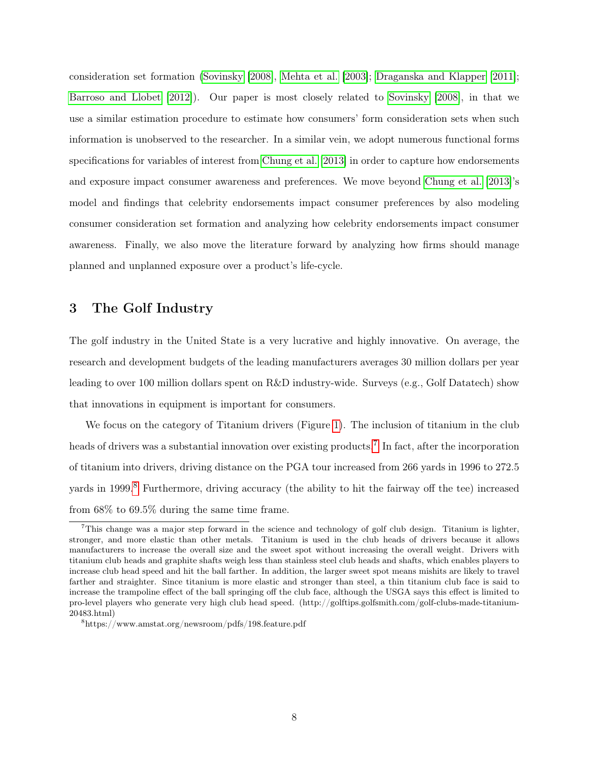consideration set formation [\(Sovinsky](#page-48-5) [\[2008\]](#page-48-5), [Mehta et al.](#page-48-6) [\[2003\]](#page-48-6); [Draganska and Klapper](#page-47-7) [\[2011\]](#page-47-7); [Barroso and Llobet](#page-46-4) [\[2012\]](#page-46-4)). Our paper is most closely related to [Sovinsky](#page-48-5) [\[2008\]](#page-48-5), in that we use a similar estimation procedure to estimate how consumers' form consideration sets when such information is unobserved to the researcher. In a similar vein, we adopt numerous functional forms specifications for variables of interest from [Chung et al.](#page-47-1) [\[2013\]](#page-47-1) in order to capture how endorsements and exposure impact consumer awareness and preferences. We move beyond [Chung et al.](#page-47-1) [\[2013\]](#page-47-1)'s model and findings that celebrity endorsements impact consumer preferences by also modeling consumer consideration set formation and analyzing how celebrity endorsements impact consumer awareness. Finally, we also move the literature forward by analyzing how firms should manage planned and unplanned exposure over a product's life-cycle.

## 3 The Golf Industry

The golf industry in the United State is a very lucrative and highly innovative. On average, the research and development budgets of the leading manufacturers averages 30 million dollars per year leading to over 100 million dollars spent on R&D industry-wide. Surveys (e.g., Golf Datatech) show that innovations in equipment is important for consumers.

We focus on the category of Titanium drivers (Figure [1\)](#page-8-0). The inclusion of titanium in the club heads of drivers was a substantial innovation over existing products.<sup>[7](#page-7-0)</sup> In fact, after the incorporation of titanium into drivers, driving distance on the PGA tour increased from 266 yards in 1996 to 272.5 yards in 1999.<sup>[8](#page-7-1)</sup> Furthermore, driving accuracy (the ability to hit the fairway off the tee) increased from 68% to 69.5% during the same time frame.

<span id="page-7-0"></span><sup>7</sup>This change was a major step forward in the science and technology of golf club design. Titanium is lighter, stronger, and more elastic than other metals. Titanium is used in the club heads of drivers because it allows manufacturers to increase the overall size and the sweet spot without increasing the overall weight. Drivers with titanium club heads and graphite shafts weigh less than stainless steel club heads and shafts, which enables players to increase club head speed and hit the ball farther. In addition, the larger sweet spot means mishits are likely to travel farther and straighter. Since titanium is more elastic and stronger than steel, a thin titanium club face is said to increase the trampoline effect of the ball springing off the club face, although the USGA says this effect is limited to pro-level players who generate very high club head speed. (http://golftips.golfsmith.com/golf-clubs-made-titanium-20483.html)

<span id="page-7-1"></span><sup>8</sup>https://www.amstat.org/newsroom/pdfs/198.feature.pdf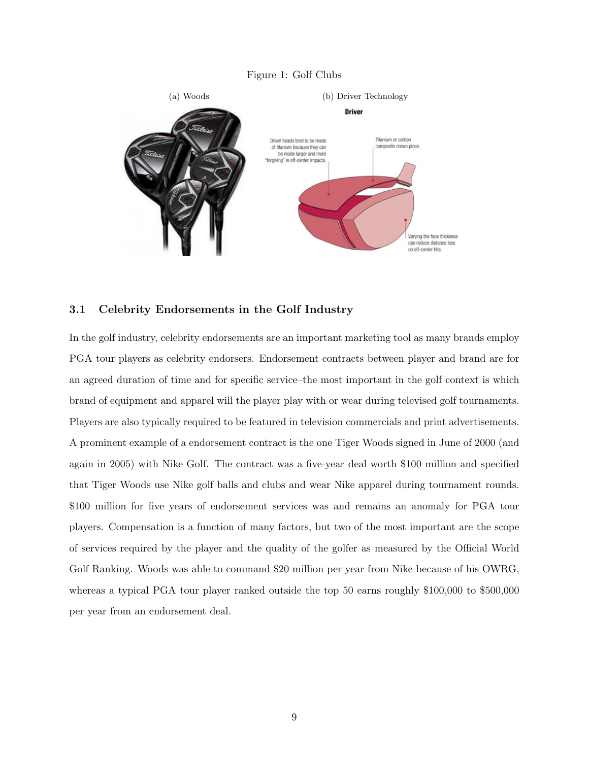

<span id="page-8-0"></span>

#### 3.1 Celebrity Endorsements in the Golf Industry

In the golf industry, celebrity endorsements are an important marketing tool as many brands employ PGA tour players as celebrity endorsers. Endorsement contracts between player and brand are for an agreed duration of time and for specific service–the most important in the golf context is which brand of equipment and apparel will the player play with or wear during televised golf tournaments. Players are also typically required to be featured in television commercials and print advertisements. A prominent example of a endorsement contract is the one Tiger Woods signed in June of 2000 (and again in 2005) with Nike Golf. The contract was a five-year deal worth \$100 million and specified that Tiger Woods use Nike golf balls and clubs and wear Nike apparel during tournament rounds. \$100 million for five years of endorsement services was and remains an anomaly for PGA tour players. Compensation is a function of many factors, but two of the most important are the scope of services required by the player and the quality of the golfer as measured by the Official World Golf Ranking. Woods was able to command \$20 million per year from Nike because of his OWRG, whereas a typical PGA tour player ranked outside the top 50 earns roughly \$100,000 to \$500,000 per year from an endorsement deal.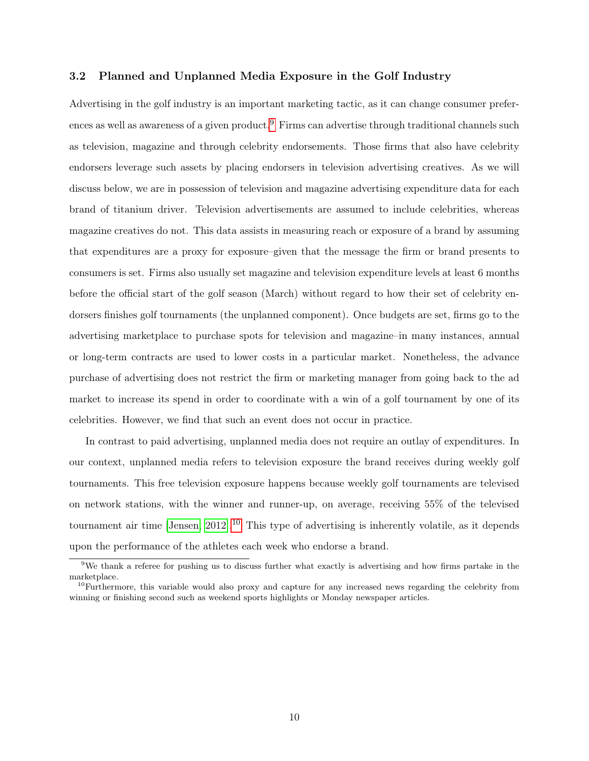#### 3.2 Planned and Unplanned Media Exposure in the Golf Industry

Advertising in the golf industry is an important marketing tactic, as it can change consumer prefer-ences as well as awareness of a given product.<sup>[9](#page-9-0)</sup> Firms can advertise through traditional channels such as television, magazine and through celebrity endorsements. Those firms that also have celebrity endorsers leverage such assets by placing endorsers in television advertising creatives. As we will discuss below, we are in possession of television and magazine advertising expenditure data for each brand of titanium driver. Television advertisements are assumed to include celebrities, whereas magazine creatives do not. This data assists in measuring reach or exposure of a brand by assuming that expenditures are a proxy for exposure–given that the message the firm or brand presents to consumers is set. Firms also usually set magazine and television expenditure levels at least 6 months before the official start of the golf season (March) without regard to how their set of celebrity endorsers finishes golf tournaments (the unplanned component). Once budgets are set, firms go to the advertising marketplace to purchase spots for television and magazine–in many instances, annual or long-term contracts are used to lower costs in a particular market. Nonetheless, the advance purchase of advertising does not restrict the firm or marketing manager from going back to the ad market to increase its spend in order to coordinate with a win of a golf tournament by one of its celebrities. However, we find that such an event does not occur in practice.

In contrast to paid advertising, unplanned media does not require an outlay of expenditures. In our context, unplanned media refers to television exposure the brand receives during weekly golf tournaments. This free television exposure happens because weekly golf tournaments are televised on network stations, with the winner and runner-up, on average, receiving 55% of the televised tournament air time [\[Jensen, 2012\]](#page-48-0).<sup>[10](#page-9-1)</sup> This type of advertising is inherently volatile, as it depends upon the performance of the athletes each week who endorse a brand.

<span id="page-9-0"></span><sup>&</sup>lt;sup>9</sup>We thank a referee for pushing us to discuss further what exactly is advertising and how firms partake in the marketplace.

<span id="page-9-1"></span><sup>&</sup>lt;sup>10</sup>Furthermore, this variable would also proxy and capture for any increased news regarding the celebrity from winning or finishing second such as weekend sports highlights or Monday newspaper articles.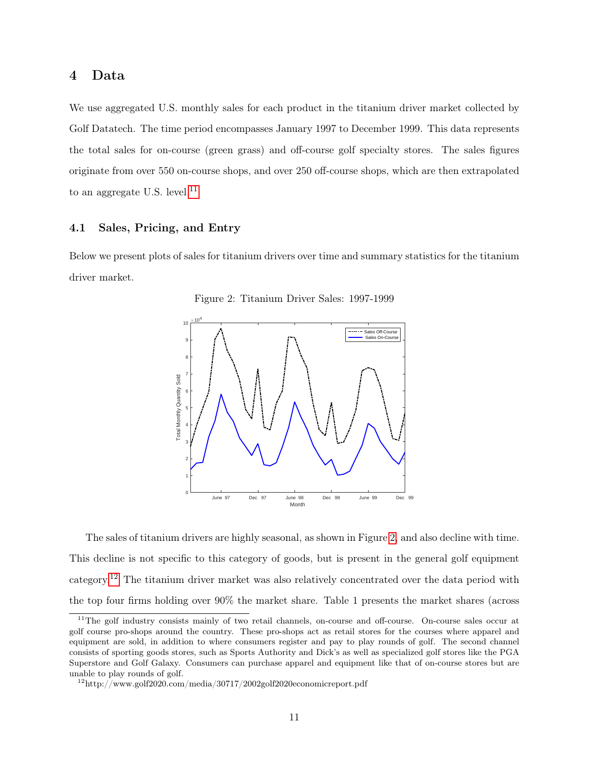## 4 Data

We use aggregated U.S. monthly sales for each product in the titanium driver market collected by Golf Datatech. The time period encompasses January 1997 to December 1999. This data represents the total sales for on-course (green grass) and off-course golf specialty stores. The sales figures originate from over 550 on-course shops, and over 250 off-course shops, which are then extrapolated to an aggregate U.S. level.<sup>[11](#page-10-0)</sup>

#### 4.1 Sales, Pricing, and Entry

<span id="page-10-1"></span>Below we present plots of sales for titanium drivers over time and summary statistics for the titanium driver market.



Figure 2: Titanium Driver Sales: 1997-1999

The sales of titanium drivers are highly seasonal, as shown in Figure [2,](#page-10-1) and also decline with time. This decline is not specific to this category of goods, but is present in the general golf equipment category.[12](#page-10-2) The titanium driver market was also relatively concentrated over the data period with the top four firms holding over 90% the market share. Table 1 presents the market shares (across

<span id="page-10-0"></span><sup>11</sup>The golf industry consists mainly of two retail channels, on-course and off-course. On-course sales occur at golf course pro-shops around the country. These pro-shops act as retail stores for the courses where apparel and equipment are sold, in addition to where consumers register and pay to play rounds of golf. The second channel consists of sporting goods stores, such as Sports Authority and Dick's as well as specialized golf stores like the PGA Superstore and Golf Galaxy. Consumers can purchase apparel and equipment like that of on-course stores but are unable to play rounds of golf.

<span id="page-10-2"></span> $^{12}\mathrm{http://www.golf2020.com/media/}30717/2002\mathrm{golf2020economicreport.pdf}$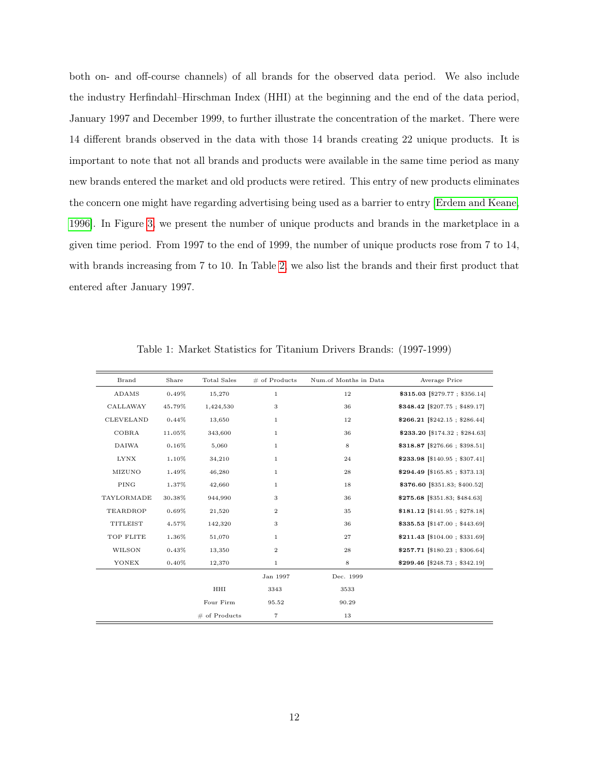both on- and off-course channels) of all brands for the observed data period. We also include the industry Herfindahl–Hirschman Index (HHI) at the beginning and the end of the data period, January 1997 and December 1999, to further illustrate the concentration of the market. There were 14 different brands observed in the data with those 14 brands creating 22 unique products. It is important to note that not all brands and products were available in the same time period as many new brands entered the market and old products were retired. This entry of new products eliminates the concern one might have regarding advertising being used as a barrier to entry [\[Erdem and Keane,](#page-47-8) [1996\]](#page-47-8). In Figure [3,](#page-12-0) we present the number of unique products and brands in the marketplace in a given time period. From 1997 to the end of 1999, the number of unique products rose from 7 to 14, with brands increasing from 7 to 10. In Table [2,](#page-12-1) we also list the brands and their first product that entered after January 1997.

| <b>Brand</b>     | Share    | Total Sales     | $#$ of Products  | Num.of Months in Data | Average Price                  |
|------------------|----------|-----------------|------------------|-----------------------|--------------------------------|
| ADAMS            | 0.49%    | 15,270          | $\mathbf{1}$     | 12                    | \$315.03 [\$279.77; \$356.14]  |
| CALLAWAY         | 45.79%   | 1,424,530       | 3                | 36                    | \$348.42 [\$207.75; \$489.17]  |
| <b>CLEVELAND</b> | 0.44%    | 13,650          | 1                | 12                    | $$266.21$ [\$242.15; \$286.44] |
| COBRA            | 11.05%   | 343,600         | $\mathbf{1}$     | 36                    | \$233.20 [\$174.32; \$284.63]  |
| <b>DAIWA</b>     | 0.16%    | 5,060           | 1                | $\,$ 8 $\,$           | \$318.87 [\$276.66; \$398.51]  |
| <b>LYNX</b>      | 1.10%    | 34,210          | $\mathbf{1}$     | 24                    | \$233.98 [\$140.95; \$307.41]  |
| MIZUNO           | 1.49%    | 46,280          | $\mathbf{1}$     | 28                    | \$294.49 [\$165.85; \$373.13]  |
| PING             | 1.37%    | 42,660          | $\mathbf{1}$     | 18                    | \$376.60 [\$351.83; \$400.52]  |
| TAYLORMADE       | 30.38%   | 944,990         | 3                | 36                    | \$275.68 [\$351.83; \$484.63]  |
| TEARDROP         | 0.69%    | 21,520          | $\boldsymbol{2}$ | 35                    | \$181.12 [\$141.95; \$278.18]  |
| TITLEIST         | 4.57%    | 142,320         | 3                | 36                    | \$335.53 [\$147.00; \$443.69]  |
| TOP FLITE        | 1.36%    | 51,070          | 1                | 27                    | \$211.43 [\$104.00; \$331.69]  |
| WILSON           | 0.43%    | 13,350          | $\,2$            | 28                    | \$257.71 [\$180.23; \$306.64]  |
| YONEX            | $0.40\%$ | 12,370          | $\mathbf{1}$     | 8                     | \$299.46 [\$248.73; \$342.19]  |
|                  |          |                 | Jan 1997         | Dec. 1999             |                                |
|                  |          | HHI             | 3343             | 3533                  |                                |
|                  |          | Four Firm       | 95.52            | 90.29                 |                                |
|                  |          | $#$ of Products | $\overline{7}$   | 13                    |                                |

Table 1: Market Statistics for Titanium Drivers Brands: (1997-1999)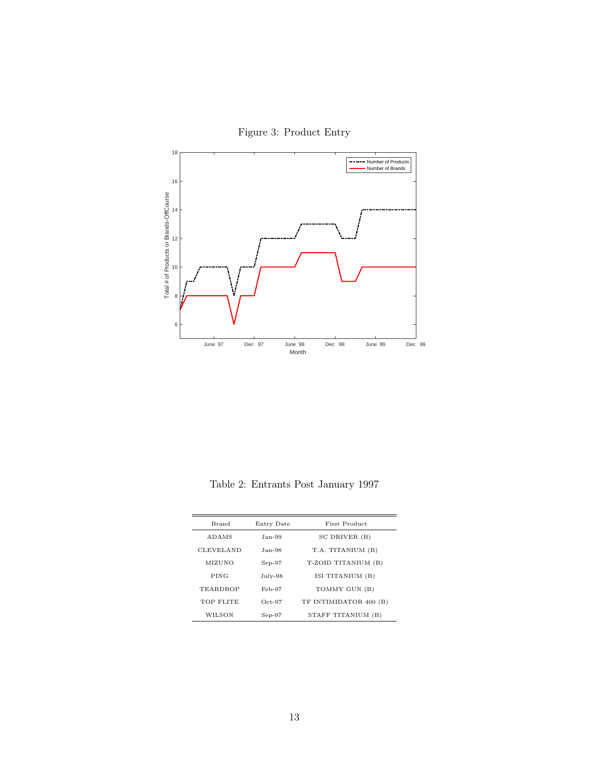Figure 3: Product Entry

<span id="page-12-0"></span>

Table 2: Entrants Post January 1997

<span id="page-12-1"></span>

| Brand            | Entry Date | First Product          |
|------------------|------------|------------------------|
| <b>ADAMS</b>     | $Jan-99$   | SC DRIVER (B)          |
| <b>CLEVELAND</b> | $Jan-98$   | T.A. TITANIUM (B)      |
| <b>MIZUNO</b>    | $Sep-97$   | T-ZOID TITANIUM (B)    |
| <b>PING</b>      | July-98    | ISI TITANIUM (B)       |
| <b>TEARDROP</b>  | Feb-97     | TOMMY GUN (B)          |
| TOP FLITE        | $Oct-97$   | TF INTIMIDATOR 400 (B) |
| WILSON           | $Sep-97$   | STAFF TITANIUM (B)     |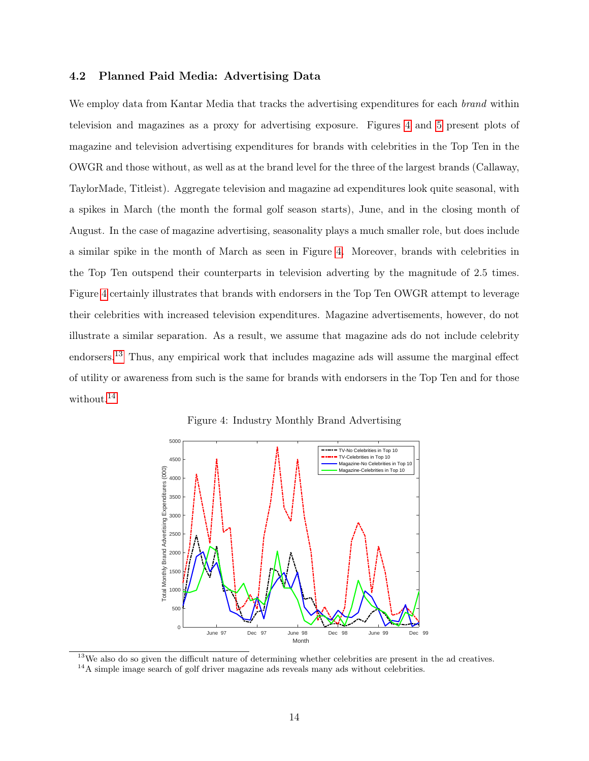#### 4.2 Planned Paid Media: Advertising Data

We employ data from Kantar Media that tracks the advertising expenditures for each brand within television and magazines as a proxy for advertising exposure. Figures [4](#page-13-0) and [5](#page-14-0) present plots of magazine and television advertising expenditures for brands with celebrities in the Top Ten in the OWGR and those without, as well as at the brand level for the three of the largest brands (Callaway, TaylorMade, Titleist). Aggregate television and magazine ad expenditures look quite seasonal, with a spikes in March (the month the formal golf season starts), June, and in the closing month of August. In the case of magazine advertising, seasonality plays a much smaller role, but does include a similar spike in the month of March as seen in Figure [4.](#page-13-0) Moreover, brands with celebrities in the Top Ten outspend their counterparts in television adverting by the magnitude of 2.5 times. Figure [4](#page-13-0) certainly illustrates that brands with endorsers in the Top Ten OWGR attempt to leverage their celebrities with increased television expenditures. Magazine advertisements, however, do not illustrate a similar separation. As a result, we assume that magazine ads do not include celebrity endorsers.[13](#page-13-1) Thus, any empirical work that includes magazine ads will assume the marginal effect of utility or awareness from such is the same for brands with endorsers in the Top Ten and for those without.<sup>[14](#page-13-2)</sup>

Figure 4: Industry Monthly Brand Advertising

<span id="page-13-0"></span>

<span id="page-13-1"></span><sup>13</sup>We also do so given the difficult nature of determining whether celebrities are present in the ad creatives.

<span id="page-13-2"></span><sup>14</sup>A simple image search of golf driver magazine ads reveals many ads without celebrities.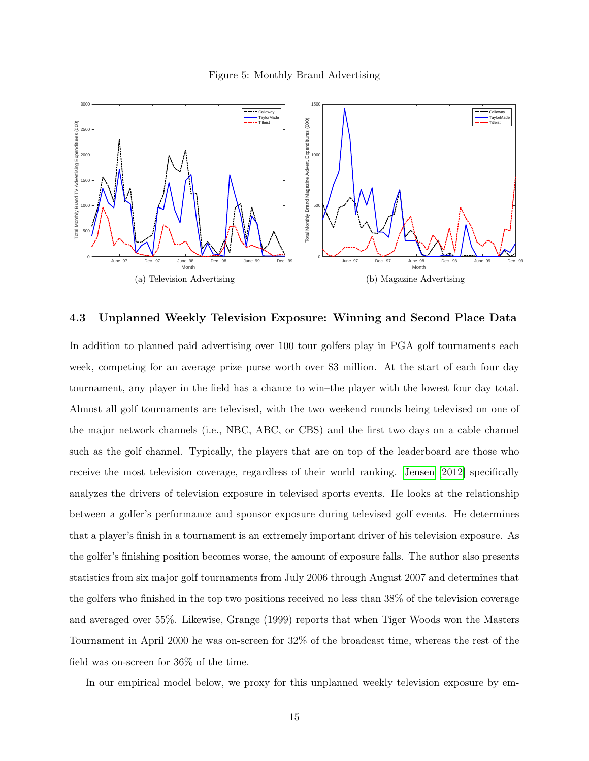<span id="page-14-0"></span>

4.3 Unplanned Weekly Television Exposure: Winning and Second Place Data

In addition to planned paid advertising over 100 tour golfers play in PGA golf tournaments each week, competing for an average prize purse worth over \$3 million. At the start of each four day tournament, any player in the field has a chance to win–the player with the lowest four day total. Almost all golf tournaments are televised, with the two weekend rounds being televised on one of the major network channels (i.e., NBC, ABC, or CBS) and the first two days on a cable channel such as the golf channel. Typically, the players that are on top of the leaderboard are those who receive the most television coverage, regardless of their world ranking. [Jensen](#page-48-0) [\[2012\]](#page-48-0) specifically analyzes the drivers of television exposure in televised sports events. He looks at the relationship between a golfer's performance and sponsor exposure during televised golf events. He determines that a player's finish in a tournament is an extremely important driver of his television exposure. As the golfer's finishing position becomes worse, the amount of exposure falls. The author also presents statistics from six major golf tournaments from July 2006 through August 2007 and determines that the golfers who finished in the top two positions received no less than 38% of the television coverage and averaged over 55%. Likewise, Grange (1999) reports that when Tiger Woods won the Masters Tournament in April 2000 he was on-screen for 32% of the broadcast time, whereas the rest of the field was on-screen for 36% of the time.

In our empirical model below, we proxy for this unplanned weekly television exposure by em-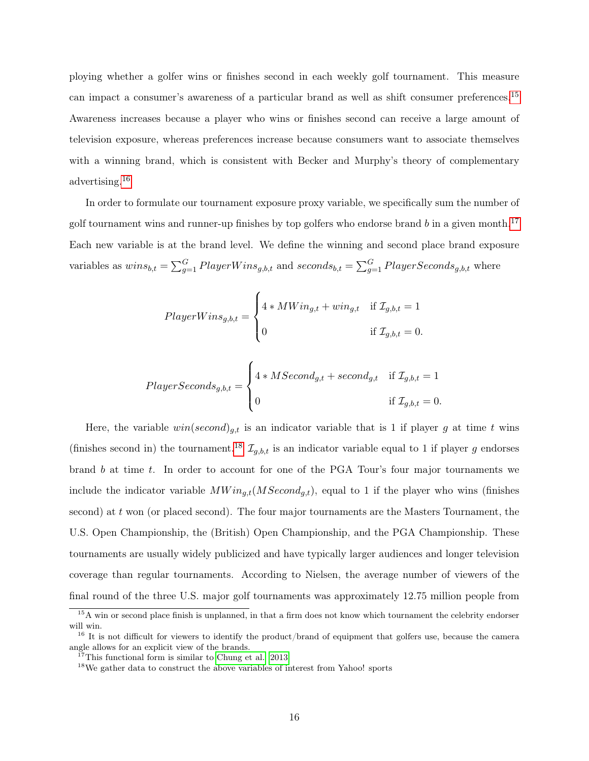ploying whether a golfer wins or finishes second in each weekly golf tournament. This measure can impact a consumer's awareness of a particular brand as well as shift consumer preferences.[15](#page-15-0) Awareness increases because a player who wins or finishes second can receive a large amount of television exposure, whereas preferences increase because consumers want to associate themselves with a winning brand, which is consistent with Becker and Murphy's theory of complementary advertising.[16](#page-15-1)

In order to formulate our tournament exposure proxy variable, we specifically sum the number of golf tournament wins and runner-up finishes by top golfers who endorse brand b in a given month.<sup>[17](#page-15-2)</sup> Each new variable is at the brand level. We define the winning and second place brand exposure variables as  $wins_{b,t} = \sum_{g=1}^{G} PlayerWins_{g,b,t}$  and  $seconds_{b,t} = \sum_{g=1}^{G} PlayerSeconds_{g,b,t}$  where

$$
PlayerWins_{g,b,t} = \begin{cases} 4 * MWin_{g,t} + win_{g,t} & \text{if } \mathcal{I}_{g,b,t} = 1 \\ 0 & \text{if } \mathcal{I}_{g,b,t} = 0. \end{cases}
$$
  
 
$$
PlayerSeconds_{g,b,t} = \begin{cases} 4 * MSecond_{g,t} + second_{g,t} & \text{if } \mathcal{I}_{g,b,t} = 1 \\ 0 & \text{if } \mathcal{I}_{g,b,t} = 0. \end{cases}
$$

Here, the variable  $win(second)_{g,t}$  is an indicator variable that is 1 if player g at time t wins (finishes second in) the tournament.<sup>[18](#page-15-3)</sup>  $\mathcal{I}_{q,b,t}$  is an indicator variable equal to 1 if player g endorses brand  $b$  at time  $t$ . In order to account for one of the PGA Tour's four major tournaments we include the indicator variable  $MWin_{g,t}(MSecond_{g,t}),$  equal to 1 if the player who wins (finishes second) at  $t$  won (or placed second). The four major tournaments are the Masters Tournament, the U.S. Open Championship, the (British) Open Championship, and the PGA Championship. These tournaments are usually widely publicized and have typically larger audiences and longer television coverage than regular tournaments. According to Nielsen, the average number of viewers of the final round of the three U.S. major golf tournaments was approximately 12.75 million people from

<span id="page-15-0"></span> $15A$  win or second place finish is unplanned, in that a firm does not know which tournament the celebrity endorser will win.

<span id="page-15-1"></span><sup>&</sup>lt;sup>16</sup> It is not difficult for viewers to identify the product/brand of equipment that golfers use, because the camera angle allows for an explicit view of the brands.

<span id="page-15-2"></span><sup>&</sup>lt;sup>17</sup>This functional form is similar to [Chung et al.](#page-47-1) [\[2013\]](#page-47-1)

<span id="page-15-3"></span><sup>&</sup>lt;sup>18</sup>We gather data to construct the above variables of interest from Yahoo! sports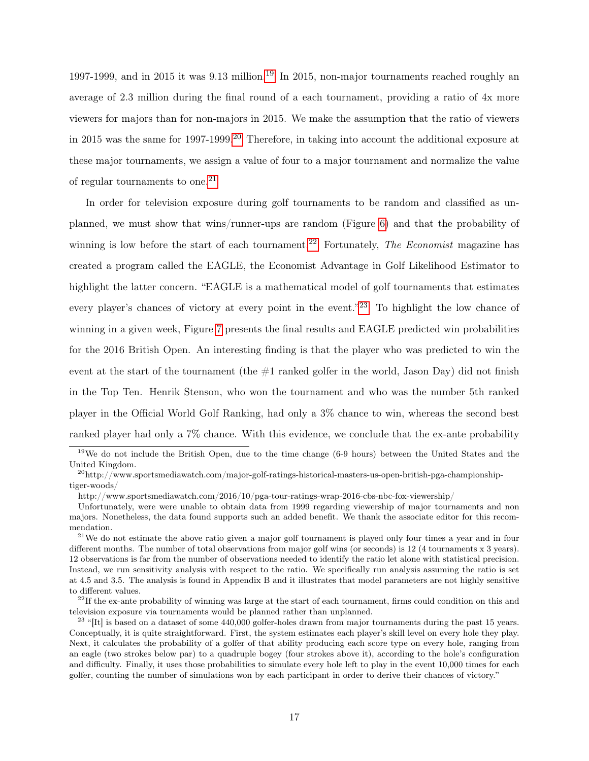[19](#page-16-0)97-1999, and in 2015 it was  $9.13$  million.<sup>19</sup> In 2015, non-major tournaments reached roughly an average of 2.3 million during the final round of a each tournament, providing a ratio of 4x more viewers for majors than for non-majors in 2015. We make the assumption that the ratio of viewers in [20](#page-16-1)15 was the same for 1997-1999.<sup>20</sup> Therefore, in taking into account the additional exposure at these major tournaments, we assign a value of four to a major tournament and normalize the value of regular tournaments to one.[21](#page-16-2)

In order for television exposure during golf tournaments to be random and classified as unplanned, we must show that wins/runner-ups are random (Figure [6\)](#page-17-0) and that the probability of winning is low before the start of each tournament.<sup>[22](#page-16-3)</sup> Fortunately, *The Economist* magazine has created a program called the EAGLE, the Economist Advantage in Golf Likelihood Estimator to highlight the latter concern. "EAGLE is a mathematical model of golf tournaments that estimates every player's chances of victory at every point in the event."<sup>[23](#page-16-4)</sup> To highlight the low chance of winning in a given week, Figure [7](#page-18-0) presents the final results and EAGLE predicted win probabilities for the 2016 British Open. An interesting finding is that the player who was predicted to win the event at the start of the tournament (the  $\#1$  ranked golfer in the world, Jason Day) did not finish in the Top Ten. Henrik Stenson, who won the tournament and who was the number 5th ranked player in the Official World Golf Ranking, had only a 3% chance to win, whereas the second best ranked player had only a 7% chance. With this evidence, we conclude that the ex-ante probability

<span id="page-16-0"></span><sup>&</sup>lt;sup>19</sup>We do not include the British Open, due to the time change (6-9 hours) between the United States and the United Kingdom.

<span id="page-16-1"></span> $^{20}$ http://www.sportsmediawatch.com/major-golf-ratings-historical-masters-us-open-british-pga-championshiptiger-woods/

http://www.sportsmediawatch.com/2016/10/pga-tour-ratings-wrap-2016-cbs-nbc-fox-viewership/

Unfortunately, were were unable to obtain data from 1999 regarding viewership of major tournaments and non majors. Nonetheless, the data found supports such an added benefit. We thank the associate editor for this recommendation.

<span id="page-16-2"></span><sup>&</sup>lt;sup>21</sup>We do not estimate the above ratio given a major golf tournament is played only four times a year and in four different months. The number of total observations from major golf wins (or seconds) is 12 (4 tournaments x 3 years). 12 observations is far from the number of observations needed to identify the ratio let alone with statistical precision. Instead, we run sensitivity analysis with respect to the ratio. We specifically run analysis assuming the ratio is set at 4.5 and 3.5. The analysis is found in Appendix B and it illustrates that model parameters are not highly sensitive to different values.

<span id="page-16-3"></span><sup>&</sup>lt;sup>22</sup>If the ex-ante probability of winning was large at the start of each tournament, firms could condition on this and television exposure via tournaments would be planned rather than unplanned.

<span id="page-16-4"></span> $^{23}$  "[It] is based on a dataset of some 440,000 golfer-holes drawn from major tournaments during the past 15 years. Conceptually, it is quite straightforward. First, the system estimates each player's skill level on every hole they play. Next, it calculates the probability of a golfer of that ability producing each score type on every hole, ranging from an eagle (two strokes below par) to a quadruple bogey (four strokes above it), according to the hole's configuration and difficulty. Finally, it uses those probabilities to simulate every hole left to play in the event 10,000 times for each golfer, counting the number of simulations won by each participant in order to derive their chances of victory."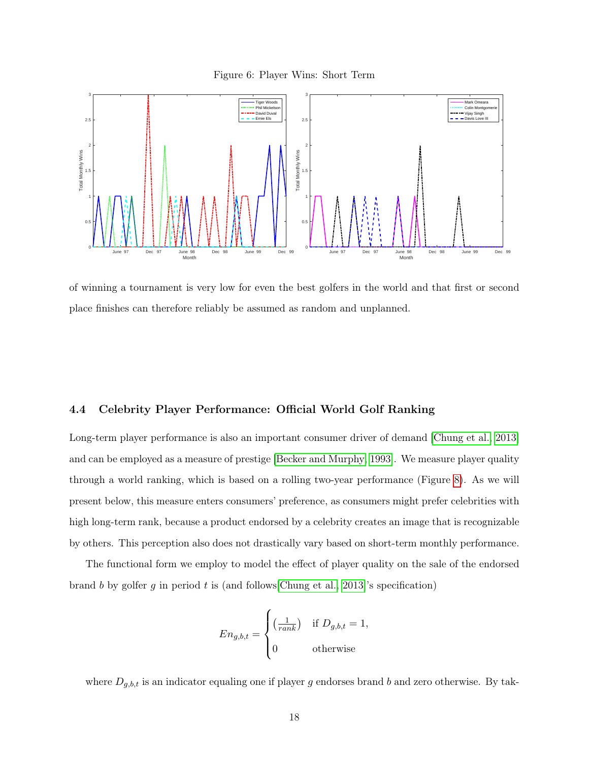

<span id="page-17-0"></span>

of winning a tournament is very low for even the best golfers in the world and that first or second place finishes can therefore reliably be assumed as random and unplanned.

#### 4.4 Celebrity Player Performance: Official World Golf Ranking

Long-term player performance is also an important consumer driver of demand [\[Chung et al., 2013\]](#page-47-1) and can be employed as a measure of prestige [\[Becker and Murphy, 1993\]](#page-46-1). We measure player quality through a world ranking, which is based on a rolling two-year performance (Figure [8\)](#page-19-0). As we will present below, this measure enters consumers' preference, as consumers might prefer celebrities with high long-term rank, because a product endorsed by a celebrity creates an image that is recognizable by others. This perception also does not drastically vary based on short-term monthly performance.

The functional form we employ to model the effect of player quality on the sale of the endorsed brand b by golfer g in period t is (and follows Chung et al., 2013)'s specification)

$$
En_{g,b,t} = \begin{cases} \left(\frac{1}{rank}\right) & \text{if } D_{g,b,t} = 1, \\ 0 & \text{otherwise} \end{cases}
$$

where  $D_{g,b,t}$  is an indicator equaling one if player g endorses brand b and zero otherwise. By tak-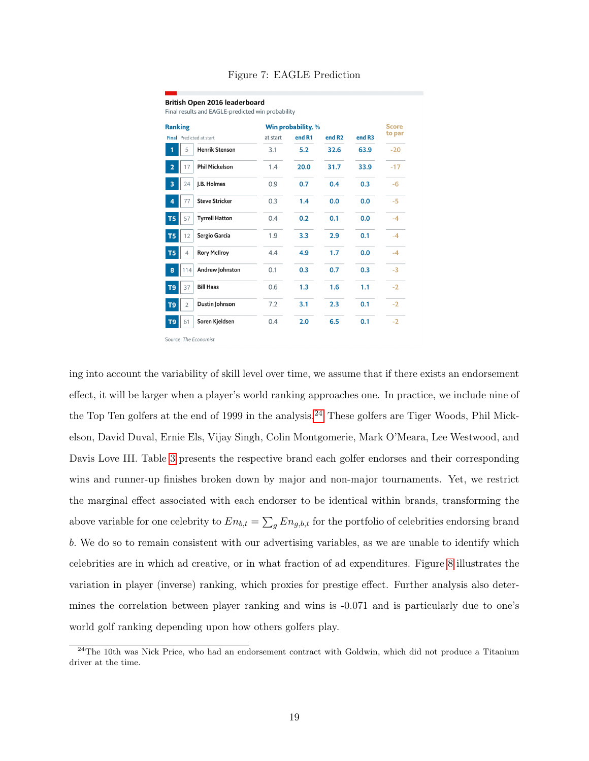| <b>Ranking</b>           |                       |          | Win probability, % |                    |                    | <b>Score</b> |
|--------------------------|-----------------------|----------|--------------------|--------------------|--------------------|--------------|
| Final Predicted at start |                       | at start | end R1             | end R <sub>2</sub> | end R <sub>3</sub> | to par       |
| 1<br>5                   | <b>Henrik Stenson</b> | 3.1      | 5.2                | 32.6               | 63.9               | $-20$        |
| $\overline{2}$<br>17     | <b>Phil Mickelson</b> | 1.4      | 20.0               | 31.7               | 33.9               | $-17$        |
| 3<br>24                  | J.B. Holmes           | 0.9      | 0.7                | 0.4                | 0.3                | -6           |
| 4<br>77                  | <b>Steve Stricker</b> | 0.3      | 1.4                | 0.0                | 0.0                | $-5$         |
| T5<br>57                 | <b>Tyrrell Hatton</b> | 0.4      | 0.2                | 0.1                | 0.0                | $-4$         |
| T <sub>5</sub><br>12     | Sergio García         | 1.9      | 3.3                | 2.9                | 0.1                | $-4$         |
| T5<br>$\overline{4}$     | <b>Rory McIlroy</b>   | 4.4      | 4.9                | 1.7                | 0.0                | $-4$         |
| 8<br>114                 | Andrew Johnston       | 0.1      | 0.3                | 0.7                | 0.3                | $-3$         |
| T9<br>37                 | <b>Bill Haas</b>      | 0.6      | 1.3                | 1.6                | 1.1                | $-2$         |
| T9<br>$\overline{2}$     | Dustin Johnson        | 7.2      | 3.1                | 2.3                | 0.1                | $-2$         |
| T9<br>61                 | Soren Kjeldsen        | 0.4      | 2.0                | 6.5                | 0.1                | $-2$         |

#### Figure 7: EAGLE Prediction

Source: The Economist

<span id="page-18-0"></span>**British Open 2016 leaderboard** 

ing into account the variability of skill level over time, we assume that if there exists an endorsement effect, it will be larger when a player's world ranking approaches one. In practice, we include nine of the Top Ten golfers at the end of 1999 in the analysis.<sup>[24](#page-18-1)</sup> These golfers are Tiger Woods, Phil Mickelson, David Duval, Ernie Els, Vijay Singh, Colin Montgomerie, Mark O'Meara, Lee Westwood, and Davis Love III. Table [3](#page-19-1) presents the respective brand each golfer endorses and their corresponding wins and runner-up finishes broken down by major and non-major tournaments. Yet, we restrict the marginal effect associated with each endorser to be identical within brands, transforming the above variable for one celebrity to  $En_{b,t} = \sum_{g} En_{g,b,t}$  for the portfolio of celebrities endorsing brand b. We do so to remain consistent with our advertising variables, as we are unable to identify which celebrities are in which ad creative, or in what fraction of ad expenditures. Figure [8](#page-19-0) illustrates the variation in player (inverse) ranking, which proxies for prestige effect. Further analysis also determines the correlation between player ranking and wins is -0.071 and is particularly due to one's world golf ranking depending upon how others golfers play.

<span id="page-18-1"></span> $24$ The 10th was Nick Price, who had an endorsement contract with Goldwin, which did not produce a Titanium driver at the time.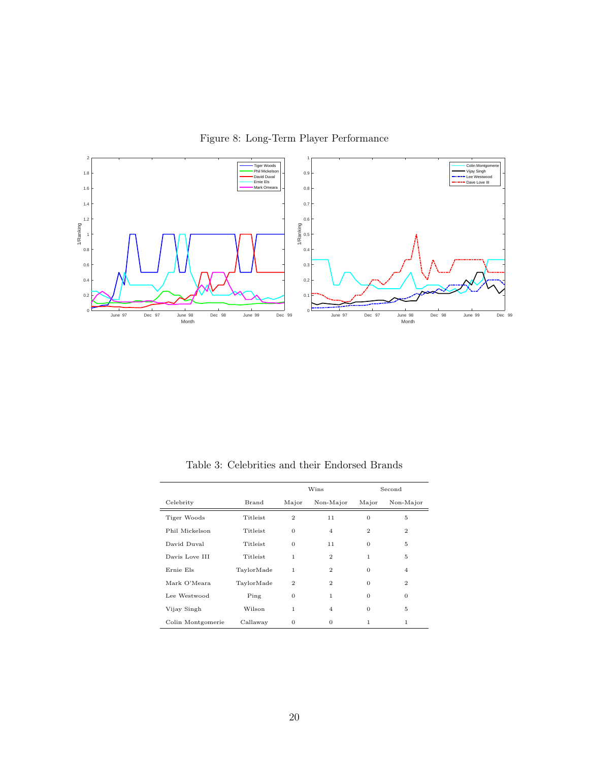Figure 8: Long-Term Player Performance

<span id="page-19-0"></span>

Table 3: Celebrities and their Endorsed Brands

l,

<span id="page-19-1"></span>

|                   |            | Wins           |                | Second         |                |
|-------------------|------------|----------------|----------------|----------------|----------------|
| Celebrity         | Brand      | Major          | Non-Major      | Major          | Non-Major      |
| Tiger Woods       | Titleist   | $\overline{2}$ | 11             | $\mathbf{0}$   | 5              |
| Phil Mickelson    | Titleist   | $\Omega$       | $\overline{4}$ | $\overline{2}$ | $\overline{2}$ |
| David Duval       | Titleist   | $\Omega$       | 11             | $\mathbf{0}$   | 5              |
| Davis Love III    | Titleist   | 1              | $\mathbf{2}$   | 1              | 5              |
| Ernie Els         | TaylorMade | 1              | $\mathbf{2}$   | $\mathbf{0}$   | $\overline{4}$ |
| Mark O'Meara      | TaylorMade | $\mathbf{2}$   | $\mathbf{2}$   | $\mathbf{0}$   | $\mathbf{2}$   |
| Lee Westwood      | Ping       | $\overline{0}$ | 1              | $\mathbf{0}$   | $\mathbf{0}$   |
| Vijay Singh       | Wilson     | 1              | $\overline{4}$ | $\mathbf{0}$   | 5              |
| Colin Montgomerie | Callaway   | $\mathbf{0}$   | $\overline{0}$ | 1              | 1              |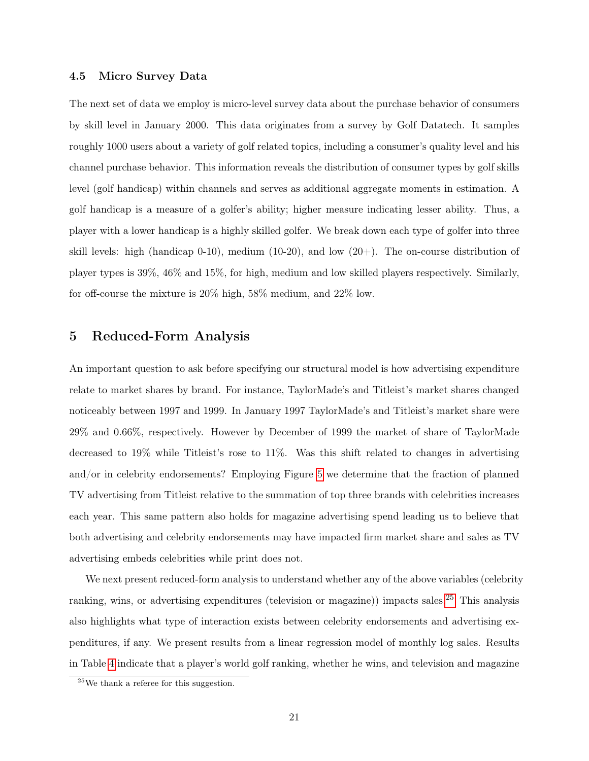#### 4.5 Micro Survey Data

The next set of data we employ is micro-level survey data about the purchase behavior of consumers by skill level in January 2000. This data originates from a survey by Golf Datatech. It samples roughly 1000 users about a variety of golf related topics, including a consumer's quality level and his channel purchase behavior. This information reveals the distribution of consumer types by golf skills level (golf handicap) within channels and serves as additional aggregate moments in estimation. A golf handicap is a measure of a golfer's ability; higher measure indicating lesser ability. Thus, a player with a lower handicap is a highly skilled golfer. We break down each type of golfer into three skill levels: high (handicap  $0-10$ ), medium (10-20), and low (20+). The on-course distribution of player types is 39%, 46% and 15%, for high, medium and low skilled players respectively. Similarly, for off-course the mixture is 20% high, 58% medium, and 22% low.

## 5 Reduced-Form Analysis

An important question to ask before specifying our structural model is how advertising expenditure relate to market shares by brand. For instance, TaylorMade's and Titleist's market shares changed noticeably between 1997 and 1999. In January 1997 TaylorMade's and Titleist's market share were 29% and 0.66%, respectively. However by December of 1999 the market of share of TaylorMade decreased to 19% while Titleist's rose to 11%. Was this shift related to changes in advertising and/or in celebrity endorsements? Employing Figure [5](#page-14-0) we determine that the fraction of planned TV advertising from Titleist relative to the summation of top three brands with celebrities increases each year. This same pattern also holds for magazine advertising spend leading us to believe that both advertising and celebrity endorsements may have impacted firm market share and sales as TV advertising embeds celebrities while print does not.

We next present reduced-form analysis to understand whether any of the above variables (celebrity ranking, wins, or advertising expenditures (television or magazine)) impacts sales.[25](#page-20-0) This analysis also highlights what type of interaction exists between celebrity endorsements and advertising expenditures, if any. We present results from a linear regression model of monthly log sales. Results in Table [4](#page-21-0) indicate that a player's world golf ranking, whether he wins, and television and magazine

<span id="page-20-0"></span><sup>25</sup>We thank a referee for this suggestion.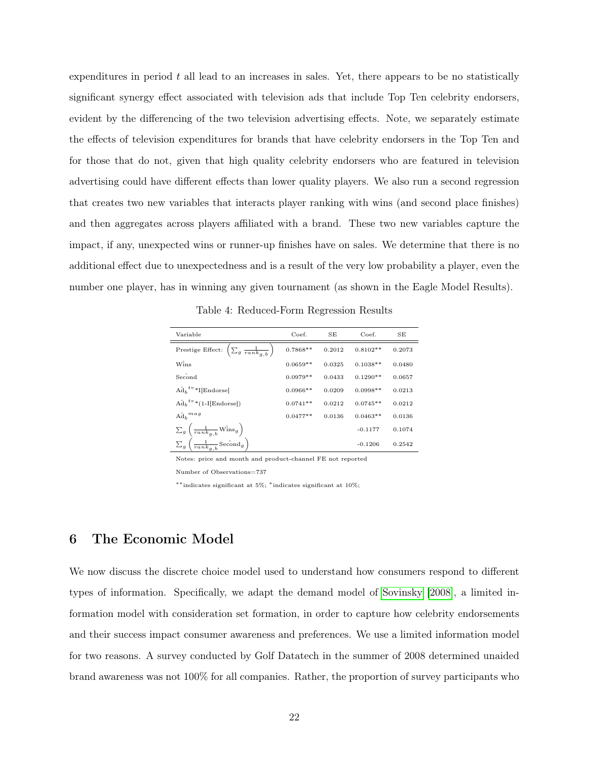expenditures in period  $t$  all lead to an increases in sales. Yet, there appears to be no statistically significant synergy effect associated with television ads that include Top Ten celebrity endorsers, evident by the differencing of the two television advertising effects. Note, we separately estimate the effects of television expenditures for brands that have celebrity endorsers in the Top Ten and for those that do not, given that high quality celebrity endorsers who are featured in television advertising could have different effects than lower quality players. We also run a second regression that creates two new variables that interacts player ranking with wins (and second place finishes) and then aggregates across players affiliated with a brand. These two new variables capture the impact, if any, unexpected wins or runner-up finishes have on sales. We determine that there is no additional effect due to unexpectedness and is a result of the very low probability a player, even the number one player, has in winning any given tournament (as shown in the Eagle Model Results).

Table 4: Reduced-Form Regression Results

<span id="page-21-0"></span>

| Variable                                                                             | Coef.      | SE     | Coef.      | SЕ     |
|--------------------------------------------------------------------------------------|------------|--------|------------|--------|
| $\left(\sum_{g} \frac{1}{rank_{g,b}}\right)$<br>Prestige Effect:                     | $0.7868**$ | 0.2012 | $0.8102**$ | 0.2073 |
| Wins                                                                                 | $0.0659**$ | 0.0325 | $0.1038**$ | 0.0480 |
| Second                                                                               | $0.0979**$ | 0.0433 | $0.1290**$ | 0.0657 |
| $A\hat{d}_h{}^{tv}$ *I[Endorse]                                                      | $0.0966**$ | 0.0209 | $0.0998**$ | 0.0213 |
| $\hat{Ad}_h{}^{tv}$ * (1-I[Endorse])                                                 | $0.0741**$ | 0.0212 | $0.0745**$ | 0.0212 |
| $A\hat{d}_h$ <sup>mag</sup>                                                          | $0.0477**$ | 0.0136 | $0.0463**$ | 0.0136 |
| $\sum_{g}\left(\frac{1}{rank_{g,b}}\mathbf{W}\hat{\mathbf{i}}\mathbf{ns}_{g}\right)$ |            |        | $-0.1177$  | 0.1074 |
| $\sum_{g}\left(\frac{1}{rank_{g,b}}\text{Second}_{g}\right)$                         |            |        | $-0.1206$  | 0.2542 |

Notes: price and month and product-channel FE not reported

Number of Observations=737

∗∗indicates significant at 5%; <sup>∗</sup>indicates significant at 10%;

## 6 The Economic Model

We now discuss the discrete choice model used to understand how consumers respond to different types of information. Specifically, we adapt the demand model of [Sovinsky](#page-48-5) [\[2008\]](#page-48-5), a limited information model with consideration set formation, in order to capture how celebrity endorsements and their success impact consumer awareness and preferences. We use a limited information model for two reasons. A survey conducted by Golf Datatech in the summer of 2008 determined unaided brand awareness was not 100% for all companies. Rather, the proportion of survey participants who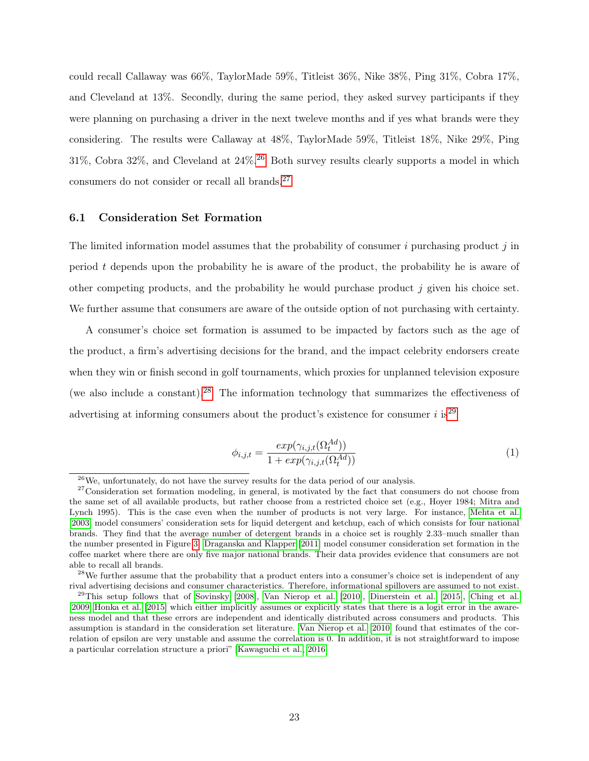could recall Callaway was 66%, TaylorMade 59%, Titleist 36%, Nike 38%, Ping 31%, Cobra 17%, and Cleveland at 13%. Secondly, during the same period, they asked survey participants if they were planning on purchasing a driver in the next tweleve months and if yes what brands were they considering. The results were Callaway at 48%, TaylorMade 59%, Titleist 18%, Nike 29%, Ping 31%, Cobra 32%, and Cleveland at 24%.[26](#page-22-0) Both survey results clearly supports a model in which consumers do not consider or recall all brands.[27](#page-22-1)

#### 6.1 Consideration Set Formation

The limited information model assumes that the probability of consumer  $i$  purchasing product  $j$  in period t depends upon the probability he is aware of the product, the probability he is aware of other competing products, and the probability he would purchase product  $j$  given his choice set. We further assume that consumers are aware of the outside option of not purchasing with certainty.

A consumer's choice set formation is assumed to be impacted by factors such as the age of the product, a firm's advertising decisions for the brand, and the impact celebrity endorsers create when they win or finish second in golf tournaments, which proxies for unplanned television exposure (we also include a constant).<sup>[28](#page-22-2)</sup> The information technology that summarizes the effectiveness of advertising at informing consumers about the product's existence for consumer  $i$  is<sup>[29](#page-22-3)</sup>

<span id="page-22-4"></span>
$$
\phi_{i,j,t} = \frac{exp(\gamma_{i,j,t}(\Omega_t^{Ad}))}{1 + exp(\gamma_{i,j,t}(\Omega_t^{Ad}))}
$$
\n(1)

<span id="page-22-1"></span><span id="page-22-0"></span> $26$ We, unfortunately, do not have the survey results for the data period of our analysis.

<sup>&</sup>lt;sup>27</sup>Consideration set formation modeling, in general, is motivated by the fact that consumers do not choose from the same set of all available products, but rather choose from a restricted choice set (e.g., Hoyer 1984; Mitra and Lynch 1995). This is the case even when the number of products is not very large. For instance, [Mehta et al.](#page-48-6) [\[2003\]](#page-48-6) model consumers' consideration sets for liquid detergent and ketchup, each of which consists for four national brands. They find that the average number of detergent brands in a choice set is roughly 2.33–much smaller than the number presented in Figure [3.](#page-12-0) [Draganska and Klapper](#page-47-7) [\[2011\]](#page-47-7) model consumer consideration set formation in the coffee market where there are only five major national brands. Their data provides evidence that consumers are not able to recall all brands.

<span id="page-22-2"></span> $28\text{We further assume that the probability that a product enters into a consumer's choice set is independent of any other elements.}$ rival advertising decisions and consumer characteristics. Therefore, informational spillovers are assumed to not exist.

<span id="page-22-3"></span> $^{29}$ This setup follows that of [Sovinsky](#page-48-5) [\[2008\]](#page-48-5), [Van Nierop et al.](#page-49-4) [\[2010\]](#page-49-4), [Dinerstein et al.](#page-47-9) [\[2015\]](#page-47-9), [Ching et al.](#page-47-10) [\[2009\]](#page-47-10)[,Honka et al.](#page-47-5) [\[2015\]](#page-47-5) which either implicitly assumes or explicitly states that there is a logit error in the awareness model and that these errors are independent and identically distributed across consumers and products. This assumption is standard in the consideration set literature. [Van Nierop et al.](#page-49-4) [\[2010\]](#page-49-4) found that estimates of the correlation of epsilon are very unstable and assume the correlation is 0. In addition, it is not straightforward to impose a particular correlation structure a priori" [\[Kawaguchi et al., 2016\]](#page-48-7)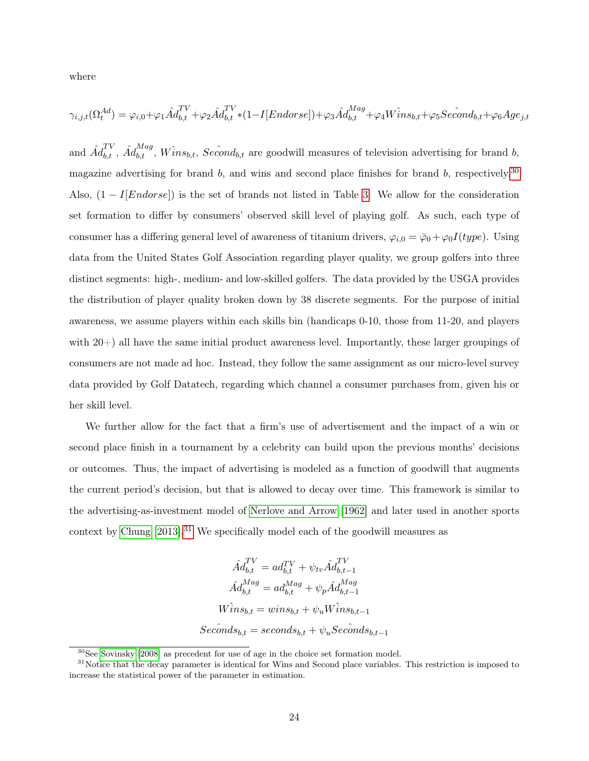where

$$
\gamma_{i,j,t}(\Omega_t^{Ad}) = \varphi_{i,0} + \varphi_1 \hat{A} d_{b,t}^{TV} + \varphi_2 \hat{A} d_{b,t}^{TV} * (1 - I[Endorse]) + \varphi_3 \hat{A} d_{b,t}^{Mag} + \varphi_4 W \hat{i} n s_{b,t} + \varphi_5 Se\hat{c}on d_{b,t} + \varphi_6 Age_{j,t}
$$

and  $\hat{Ad}_{b,t}^{TV}$ ,  $\hat{Ad}_{b,t}^{Mag}$ ,  $W\hat{i}ns_{b,t}$ ,  $\hat{Second}_{b,t}$  are goodwill measures of television advertising for brand b, magazine advertising for brand  $b$ , and wins and second place finishes for brand  $b$ , respectively.<sup>[30](#page-23-0)</sup> Also,  $(1-I[Endorse])$  is the set of brands not listed in Table [3.](#page-19-1) We allow for the consideration set formation to differ by consumers' observed skill level of playing golf. As such, each type of consumer has a differing general level of awareness of titanium drivers,  $\varphi_{i,0} = \bar{\varphi}_0 + \varphi_0 I(type)$ . Using data from the United States Golf Association regarding player quality, we group golfers into three distinct segments: high-, medium- and low-skilled golfers. The data provided by the USGA provides the distribution of player quality broken down by 38 discrete segments. For the purpose of initial awareness, we assume players within each skills bin (handicaps 0-10, those from 11-20, and players with  $20+)$  all have the same initial product awareness level. Importantly, these larger groupings of consumers are not made ad hoc. Instead, they follow the same assignment as our micro-level survey data provided by Golf Datatech, regarding which channel a consumer purchases from, given his or her skill level.

We further allow for the fact that a firm's use of advertisement and the impact of a win or second place finish in a tournament by a celebrity can build upon the previous months' decisions or outcomes. Thus, the impact of advertising is modeled as a function of goodwill that augments the current period's decision, but that is allowed to decay over time. This framework is similar to the advertising-as-investment model of [Nerlove and Arrow](#page-48-8) [\[1962\]](#page-48-8) and later used in another sports context by [Chung](#page-47-6)  $[2013]$ .<sup>[31](#page-23-1)</sup> We specifically model each of the goodwill measures as

$$
\begin{aligned}\n\hat{A}d_{b,t}^{TV} &= ad_{b,t}^{TV} + \psi_{tv}\hat{A}d_{b,t-1}^{TV} \\
\hat{A}d_{b,t}^{Mag} &= ad_{b,t}^{Mag} + \psi_p\hat{A}d_{b,t-1}^{Mag} \\
\hat{W_{in}} &= \hat{wins}_{b,t} + \psi_u\hat{W_{in}}\hat{s}_{b,t-1} \\
\hat{S}e\hat{c}ends_{b,t} = \hat{se}conds_{b,t} + \psi_u\hat{S}e\hat{c}onds_{b,t-1}\n\end{aligned}
$$

<span id="page-23-1"></span><span id="page-23-0"></span><sup>30</sup>See [Sovinsky](#page-48-5) [\[2008\]](#page-48-5) as precedent for use of age in the choice set formation model.

 $31$ Notice that the decay parameter is identical for Wins and Second place variables. This restriction is imposed to increase the statistical power of the parameter in estimation.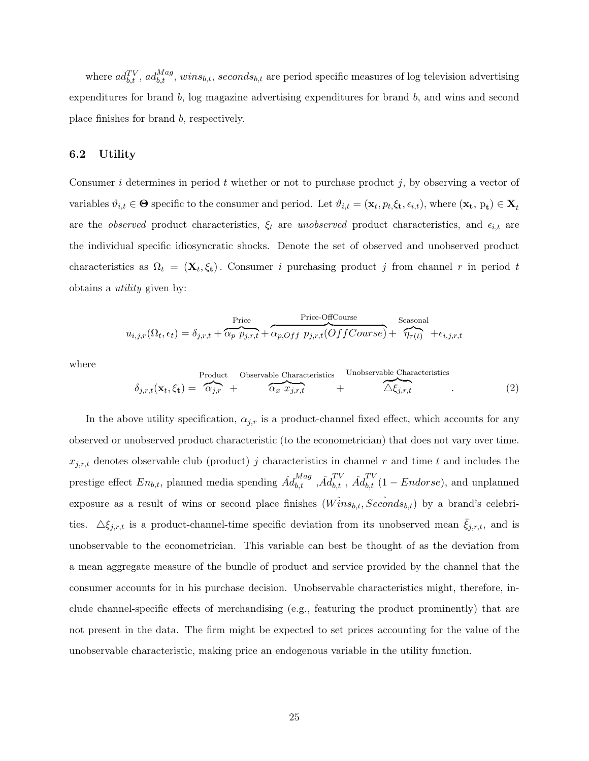where  $ad_{b,t}^{TV}$ ,  $ad_{b,t}^{Mag}$ ,  $wins_{b,t}$ , seconds<sub>b,t</sub> are period specific measures of log television advertising expenditures for brand b, log magazine advertising expenditures for brand b, and wins and second place finishes for brand b, respectively.

#### 6.2 Utility

Consumer i determines in period t whether or not to purchase product j, by observing a vector of variables  $\vartheta_{i,t} \in \Theta$  specific to the consumer and period. Let  $\vartheta_{i,t} = (\mathbf{x}_t, p_t, \xi_t, \epsilon_{i,t})$ , where  $(\mathbf{x}_t, p_t) \in \mathbf{X}_t$ are the observed product characteristics,  $\xi_t$  are unobserved product characteristics, and  $\epsilon_{i,t}$  are the individual specific idiosyncratic shocks. Denote the set of observed and unobserved product characteristics as  $\Omega_t = (\mathbf{X}_t, \xi_t)$ . Consumer i purchasing product j from channel r in period t obtains a utility given by:

$$
u_{i,j,r}(\Omega_t, \epsilon_t) = \delta_{j,r,t} + \overbrace{\alpha_p \ p_{j,r,t}}^{\text{Price-OfCourse}} + \overbrace{\alpha_{p,Off} \ p_{j,r,t}(OffCourse)}^{\text{Price-OfCourse}} + \overbrace{\eta_{\tau(t)}}^{\text{Seasonal}} + \epsilon_{i,j,r,t}
$$

where

Product Observeable Characteristics 
$$
\delta_{j,r,t}(\mathbf{x}_t, \xi_t) = \overbrace{\alpha_{j,r}}^{\text{Product}} + \overbrace{\alpha_x \ x_{j,r,t}}^{\text{Unobservable Characteristics}} +
$$
 (2)

In the above utility specification,  $\alpha_{j,r}$  is a product-channel fixed effect, which accounts for any observed or unobserved product characteristic (to the econometrician) that does not vary over time.  $x_{j,r,t}$  denotes observable club (product) j characteristics in channel r and time t and includes the prestige effect  $En_{b,t}$ , planned media spending  $\hat{Ad}_{b,t}^{Mag}$  , $\hat{Ad}_{b,t}^{TV}$ ,  $\hat{Ad}_{b,t}^{TV}(1-Endorse)$ , and unplanned exposure as a result of wins or second place finishes  $(W\hat{u}ns_{b,t}, Sec\hat{u}ns_{b,t})$  by a brand's celebrities.  $\Delta \xi_{j,r,t}$  is a product-channel-time specific deviation from its unobserved mean  $\xi_{j,r,t}$ , and is unobservable to the econometrician. This variable can best be thought of as the deviation from a mean aggregate measure of the bundle of product and service provided by the channel that the consumer accounts for in his purchase decision. Unobservable characteristics might, therefore, include channel-specific effects of merchandising (e.g., featuring the product prominently) that are not present in the data. The firm might be expected to set prices accounting for the value of the unobservable characteristic, making price an endogenous variable in the utility function.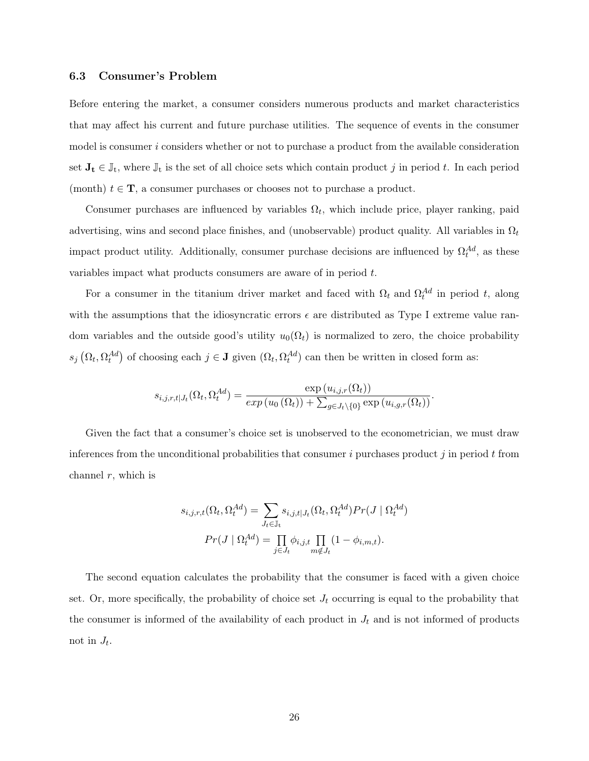#### 6.3 Consumer's Problem

Before entering the market, a consumer considers numerous products and market characteristics that may affect his current and future purchase utilities. The sequence of events in the consumer model is consumer i considers whether or not to purchase a product from the available consideration set  $J_t \in J_t$ , where  $J_t$  is the set of all choice sets which contain product j in period t. In each period (month)  $t \in \mathbf{T}$ , a consumer purchases or chooses not to purchase a product.

Consumer purchases are influenced by variables  $\Omega_t$ , which include price, player ranking, paid advertising, wins and second place finishes, and (unobservable) product quality. All variables in  $\Omega_t$ impact product utility. Additionally, consumer purchase decisions are influenced by  $\Omega_t^{Ad}$ , as these variables impact what products consumers are aware of in period t.

For a consumer in the titanium driver market and faced with  $\Omega_t$  and  $\Omega_t^{Ad}$  in period t, along with the assumptions that the idiosyncratic errors  $\epsilon$  are distributed as Type I extreme value random variables and the outside good's utility  $u_0(\Omega_t)$  is normalized to zero, the choice probability  $s_j(\Omega_t, \Omega_t^{Ad})$  of choosing each  $j \in J$  given  $(\Omega_t, \Omega_t^{Ad})$  can then be written in closed form as:

$$
s_{i,j,r,t|J_t}(\Omega_t, \Omega_t^{Ad}) = \frac{\exp(u_{i,j,r}(\Omega_t))}{\exp(u_0(\Omega_t)) + \sum_{g \in J_t \setminus \{0\}} \exp(u_{i,g,r}(\Omega_t))}.
$$

Given the fact that a consumer's choice set is unobserved to the econometrician, we must draw inferences from the unconditional probabilities that consumer  $i$  purchases product  $j$  in period  $t$  from channel  $r$ , which is

$$
s_{i,j,r,t}(\Omega_t, \Omega_t^{Ad}) = \sum_{J_t \in \mathbb{J}_t} s_{i,j,t|J_t}(\Omega_t, \Omega_t^{Ad}) Pr(J | \Omega_t^{Ad})
$$

$$
Pr(J | \Omega_t^{Ad}) = \prod_{j \in J_t} \phi_{i,j,t} \prod_{m \notin J_t} (1 - \phi_{i,m,t}).
$$

The second equation calculates the probability that the consumer is faced with a given choice set. Or, more specifically, the probability of choice set  $J_t$  occurring is equal to the probability that the consumer is informed of the availability of each product in  $J_t$  and is not informed of products not in  $J_t$ .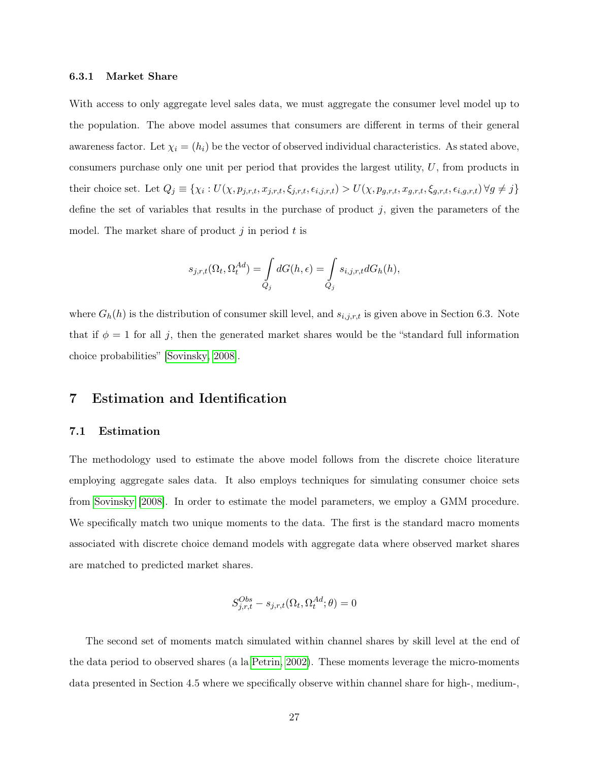#### 6.3.1 Market Share

With access to only aggregate level sales data, we must aggregate the consumer level model up to the population. The above model assumes that consumers are different in terms of their general awareness factor. Let  $\chi_i = (h_i)$  be the vector of observed individual characteristics. As stated above, consumers purchase only one unit per period that provides the largest utility,  $U$ , from products in their choice set. Let  $Q_j \equiv \{ \chi_i : U(\chi, p_{j,r,t}, x_{j,r,t}, \xi_{j,r,t}, \epsilon_{i,j,r,t}) > U(\chi, p_{g,r,t}, x_{g,r,t}, \xi_{g,r,t}, \epsilon_{i,g,r,t}) \ \forall g \neq j \}$ define the set of variables that results in the purchase of product  $j$ , given the parameters of the model. The market share of product  $j$  in period  $t$  is

$$
s_{j,r,t}(\Omega_t, \Omega_t^{Ad}) = \int\limits_{Q_j} dG(h,\epsilon) = \int\limits_{Q_j} s_{i,j,r,t} dG_h(h),
$$

where  $G_h(h)$  is the distribution of consumer skill level, and  $s_{i,j,r,t}$  is given above in Section 6.3. Note that if  $\phi = 1$  for all j, then the generated market shares would be the "standard full information" choice probabilities" [\[Sovinsky, 2008\]](#page-48-5).

## 7 Estimation and Identification

#### 7.1 Estimation

The methodology used to estimate the above model follows from the discrete choice literature employing aggregate sales data. It also employs techniques for simulating consumer choice sets from [Sovinsky](#page-48-5) [\[2008\]](#page-48-5). In order to estimate the model parameters, we employ a GMM procedure. We specifically match two unique moments to the data. The first is the standard macro moments associated with discrete choice demand models with aggregate data where observed market shares are matched to predicted market shares.

$$
S_{j,r,t}^{Obs} - s_{j,r,t}(\Omega_t, \Omega_t^{Ad}; \theta) = 0
$$

The second set of moments match simulated within channel shares by skill level at the end of the data period to observed shares (a la [Petrin, 2002\)](#page-48-9). These moments leverage the micro-moments data presented in Section 4.5 where we specifically observe within channel share for high-, medium-,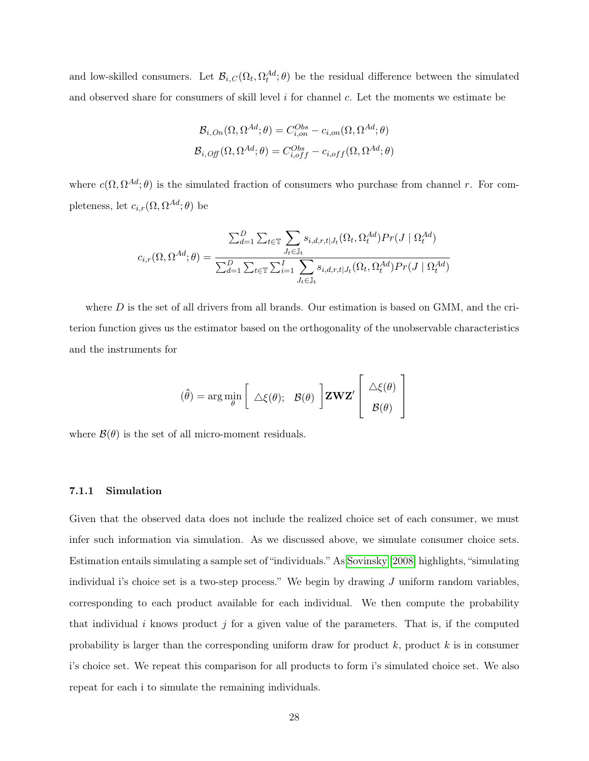and low-skilled consumers. Let  $\mathcal{B}_{i,C}(\Omega_t, \Omega_t^{Ad}; \theta)$  be the residual difference between the simulated and observed share for consumers of skill level i for channel c. Let the moments we estimate be

$$
\mathcal{B}_{i,On}(\Omega, \Omega^{Ad}; \theta) = C_{i,on}^{Obs} - c_{i,on}(\Omega, \Omega^{Ad}; \theta)
$$

$$
\mathcal{B}_{i,Off}(\Omega, \Omega^{Ad}; \theta) = C_{i,off}^{Obs} - c_{i,off}(\Omega, \Omega^{Ad}; \theta)
$$

where  $c(\Omega, \Omega^{Ad}; \theta)$  is the simulated fraction of consumers who purchase from channel r. For completeness, let  $c_{i,r}(\Omega, \Omega^{Ad}; \theta)$  be

$$
c_{i,r}(\Omega, \Omega^{Ad}; \theta) = \frac{\sum_{d=1}^{D} \sum_{t \in \mathbb{T}} \sum_{s_i, d, r, t | J_t} (\Omega_t, \Omega_t^{Ad}) Pr(J \mid \Omega_t^{Ad})}{\sum_{d=1}^{D} \sum_{t \in \mathbb{T}} \sum_{i=1}^{I} \sum_{J_t \in \mathbb{J}_t} s_{i,d,r,t | J_t}(\Omega_t, \Omega_t^{Ad}) Pr(J \mid \Omega_t^{Ad})}
$$

where  $D$  is the set of all drivers from all brands. Our estimation is based on GMM, and the criterion function gives us the estimator based on the orthogonality of the unobservable characteristics and the instruments for

$$
(\hat{\theta}) = \arg\min_{\theta} \left[ \Delta \xi(\theta); \quad \mathcal{B}(\theta) \right] \mathbf{Z} \mathbf{W} \mathbf{Z}' \left[ \begin{array}{c} \Delta \xi(\theta) \\ \mathcal{B}(\theta) \end{array} \right]
$$

where  $\mathcal{B}(\theta)$  is the set of all micro-moment residuals.

#### 7.1.1 Simulation

Given that the observed data does not include the realized choice set of each consumer, we must infer such information via simulation. As we discussed above, we simulate consumer choice sets. Estimation entails simulating a sample set of "individuals." As [Sovinsky](#page-48-5) [\[2008\]](#page-48-5) highlights, "simulating individual i's choice set is a two-step process." We begin by drawing  $J$  uniform random variables. corresponding to each product available for each individual. We then compute the probability that individual  $i$  knows product  $j$  for a given value of the parameters. That is, if the computed probability is larger than the corresponding uniform draw for product  $k$ , product  $k$  is in consumer i's choice set. We repeat this comparison for all products to form i's simulated choice set. We also repeat for each i to simulate the remaining individuals.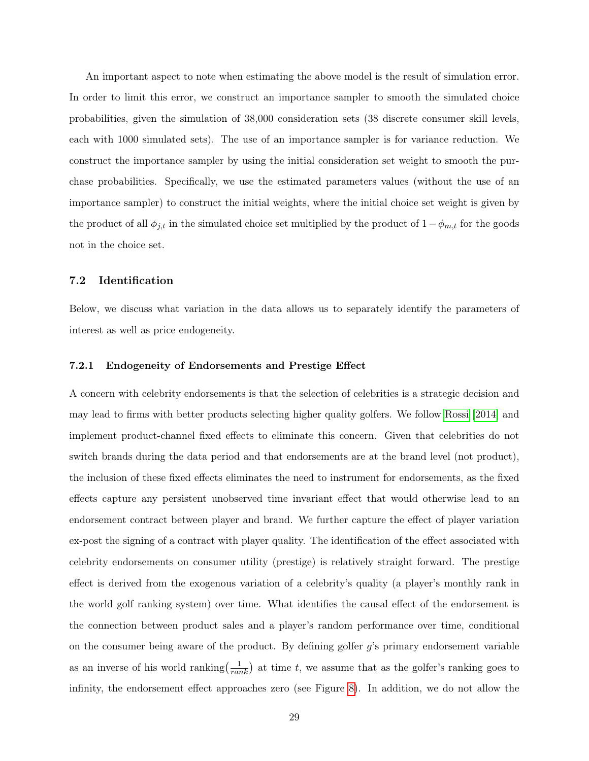An important aspect to note when estimating the above model is the result of simulation error. In order to limit this error, we construct an importance sampler to smooth the simulated choice probabilities, given the simulation of 38,000 consideration sets (38 discrete consumer skill levels, each with 1000 simulated sets). The use of an importance sampler is for variance reduction. We construct the importance sampler by using the initial consideration set weight to smooth the purchase probabilities. Specifically, we use the estimated parameters values (without the use of an importance sampler) to construct the initial weights, where the initial choice set weight is given by the product of all  $\phi_{j,t}$  in the simulated choice set multiplied by the product of  $1-\phi_{m,t}$  for the goods not in the choice set.

#### 7.2 Identification

Below, we discuss what variation in the data allows us to separately identify the parameters of interest as well as price endogeneity.

#### 7.2.1 Endogeneity of Endorsements and Prestige Effect

A concern with celebrity endorsements is that the selection of celebrities is a strategic decision and may lead to firms with better products selecting higher quality golfers. We follow [Rossi](#page-48-10) [\[2014\]](#page-48-10) and implement product-channel fixed effects to eliminate this concern. Given that celebrities do not switch brands during the data period and that endorsements are at the brand level (not product), the inclusion of these fixed effects eliminates the need to instrument for endorsements, as the fixed effects capture any persistent unobserved time invariant effect that would otherwise lead to an endorsement contract between player and brand. We further capture the effect of player variation ex-post the signing of a contract with player quality. The identification of the effect associated with celebrity endorsements on consumer utility (prestige) is relatively straight forward. The prestige effect is derived from the exogenous variation of a celebrity's quality (a player's monthly rank in the world golf ranking system) over time. What identifies the causal effect of the endorsement is the connection between product sales and a player's random performance over time, conditional on the consumer being aware of the product. By defining golfer g's primary endorsement variable as an inverse of his world ranking  $\left(\frac{1}{rank}\right)$  at time t, we assume that as the golfer's ranking goes to infinity, the endorsement effect approaches zero (see Figure [8\)](#page-19-0). In addition, we do not allow the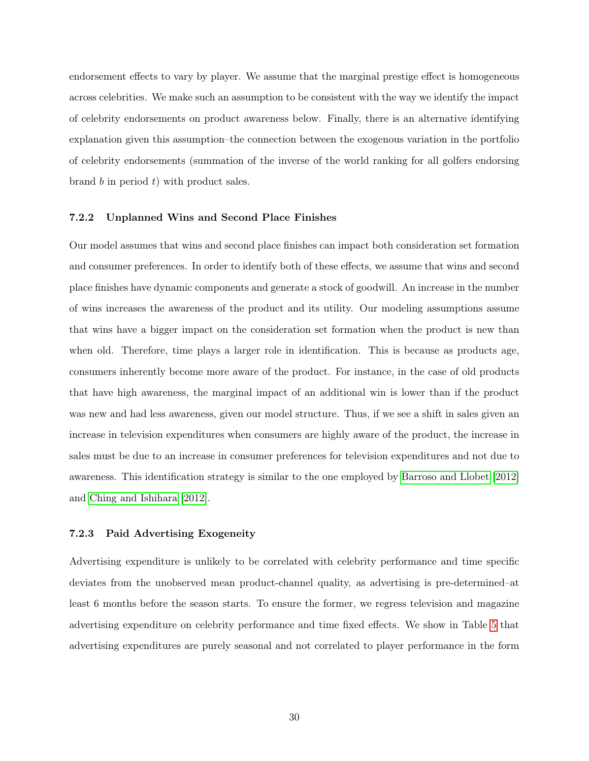endorsement effects to vary by player. We assume that the marginal prestige effect is homogeneous across celebrities. We make such an assumption to be consistent with the way we identify the impact of celebrity endorsements on product awareness below. Finally, there is an alternative identifying explanation given this assumption–the connection between the exogenous variation in the portfolio of celebrity endorsements (summation of the inverse of the world ranking for all golfers endorsing brand b in period t) with product sales.

#### 7.2.2 Unplanned Wins and Second Place Finishes

Our model assumes that wins and second place finishes can impact both consideration set formation and consumer preferences. In order to identify both of these effects, we assume that wins and second place finishes have dynamic components and generate a stock of goodwill. An increase in the number of wins increases the awareness of the product and its utility. Our modeling assumptions assume that wins have a bigger impact on the consideration set formation when the product is new than when old. Therefore, time plays a larger role in identification. This is because as products age, consumers inherently become more aware of the product. For instance, in the case of old products that have high awareness, the marginal impact of an additional win is lower than if the product was new and had less awareness, given our model structure. Thus, if we see a shift in sales given an increase in television expenditures when consumers are highly aware of the product, the increase in sales must be due to an increase in consumer preferences for television expenditures and not due to awareness. This identification strategy is similar to the one employed by [Barroso and Llobet](#page-46-4) [\[2012\]](#page-46-4) and [Ching and Ishihara](#page-47-4) [\[2012\]](#page-47-4).

#### 7.2.3 Paid Advertising Exogeneity

Advertising expenditure is unlikely to be correlated with celebrity performance and time specific deviates from the unobserved mean product-channel quality, as advertising is pre-determined–at least 6 months before the season starts. To ensure the former, we regress television and magazine advertising expenditure on celebrity performance and time fixed effects. We show in Table [5](#page-31-0) that advertising expenditures are purely seasonal and not correlated to player performance in the form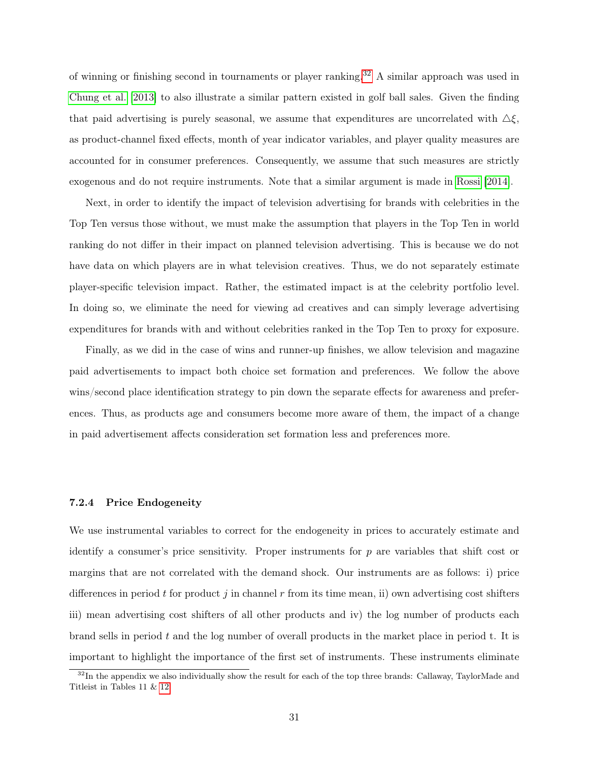of winning or finishing second in tournaments or player ranking.[32](#page-30-0) A similar approach was used in [Chung et al.](#page-47-1) [\[2013\]](#page-47-1) to also illustrate a similar pattern existed in golf ball sales. Given the finding that paid advertising is purely seasonal, we assume that expenditures are uncorrelated with  $\Delta \xi$ , as product-channel fixed effects, month of year indicator variables, and player quality measures are accounted for in consumer preferences. Consequently, we assume that such measures are strictly exogenous and do not require instruments. Note that a similar argument is made in [Rossi](#page-48-10) [\[2014\]](#page-48-10).

Next, in order to identify the impact of television advertising for brands with celebrities in the Top Ten versus those without, we must make the assumption that players in the Top Ten in world ranking do not differ in their impact on planned television advertising. This is because we do not have data on which players are in what television creatives. Thus, we do not separately estimate player-specific television impact. Rather, the estimated impact is at the celebrity portfolio level. In doing so, we eliminate the need for viewing ad creatives and can simply leverage advertising expenditures for brands with and without celebrities ranked in the Top Ten to proxy for exposure.

Finally, as we did in the case of wins and runner-up finishes, we allow television and magazine paid advertisements to impact both choice set formation and preferences. We follow the above wins/second place identification strategy to pin down the separate effects for awareness and preferences. Thus, as products age and consumers become more aware of them, the impact of a change in paid advertisement affects consideration set formation less and preferences more.

#### 7.2.4 Price Endogeneity

We use instrumental variables to correct for the endogeneity in prices to accurately estimate and identify a consumer's price sensitivity. Proper instruments for  $p$  are variables that shift cost or margins that are not correlated with the demand shock. Our instruments are as follows: i) price differences in period t for product j in channel r from its time mean, ii) own advertising cost shifters iii) mean advertising cost shifters of all other products and iv) the log number of products each brand sells in period t and the log number of overall products in the market place in period t. It is important to highlight the importance of the first set of instruments. These instruments eliminate

<span id="page-30-0"></span> $32$ In the appendix we also individually show the result for each of the top three brands: Callaway, TaylorMade and Titleist in Tables 11 & [12](#page-43-0)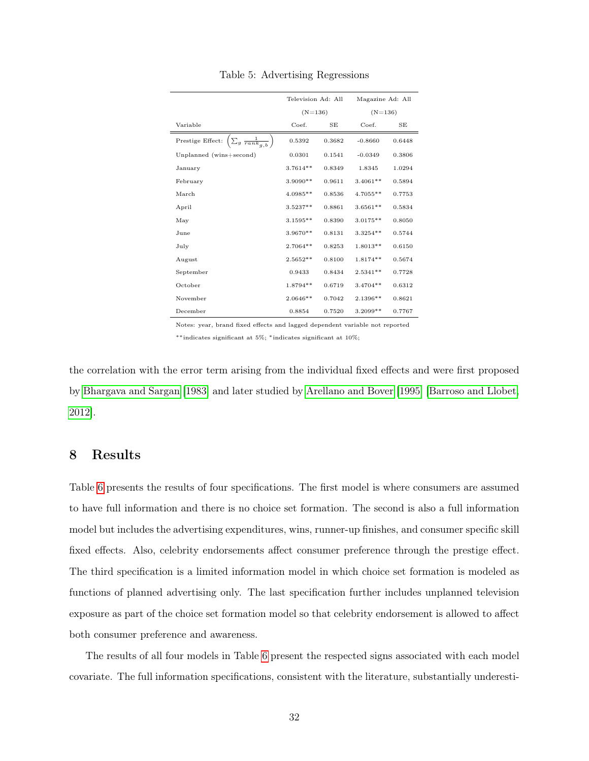<span id="page-31-0"></span>

|                                                                  | Television Ad: All |        | Magazine Ad: All |        |
|------------------------------------------------------------------|--------------------|--------|------------------|--------|
|                                                                  | $(N=136)$          |        | $(N=136)$        |        |
| Variable                                                         | Coef.              | SE     | Coef.            | SE     |
| Prestige Effect:<br>$\left(\sum_{g} \frac{1}{rank_{g,b}}\right)$ | 0.5392             | 0.3682 | $-0.8660$        | 0.6448 |
| Unplanned (wins+second)                                          | 0.0301             | 0.1541 | $-0.0349$        | 0.3806 |
| January                                                          | $3.7614**$         | 0.8349 | 1.8345           | 1.0294 |
| February                                                         | $3.9090**$         | 0.9611 | $3.4061**$       | 0.5894 |
| March                                                            | $4.0985**$         | 0.8536 | 4.7055**         | 0.7753 |
| April                                                            | $3.5237**$         | 0.8861 | $3.6561**$       | 0.5834 |
| May                                                              | $3.1595**$         | 0.8390 | $3.0175**$       | 0.8050 |
| June                                                             | $3.9670**$         | 0.8131 | $3.3254**$       | 0.5744 |
| July                                                             | $2.7064**$         | 0.8253 | $1.8013**$       | 0.6150 |
| August                                                           | $2.5652**$         | 0.8100 | 1.8174**         | 0.5674 |
| September                                                        | 0.9433             | 0.8434 | $2.5341**$       | 0.7728 |
| October                                                          | 1.8794**           | 0.6719 | $3.4704**$       | 0.6312 |
| November                                                         | $2.0646**$         | 0.7042 | $2.1396**$       | 0.8621 |
| December                                                         | 0.8854             | 0.7520 | $3.2099**$       | 0.7767 |

Table 5: Advertising Regressions

Notes: year, brand fixed effects and lagged dependent variable not reported

∗∗indicates significant at 5%; <sup>∗</sup>indicates significant at 10%;

the correlation with the error term arising from the individual fixed effects and were first proposed by [Bhargava and Sargan](#page-46-5) [\[1983\]](#page-46-5) and later studied by [Arellano and Bover](#page-46-6) [\[1995\]](#page-46-6) [\[Barroso and Llobet,](#page-46-4) [2012\]](#page-46-4).

## 8 Results

Table [6](#page-33-0) presents the results of four specifications. The first model is where consumers are assumed to have full information and there is no choice set formation. The second is also a full information model but includes the advertising expenditures, wins, runner-up finishes, and consumer specific skill fixed effects. Also, celebrity endorsements affect consumer preference through the prestige effect. The third specification is a limited information model in which choice set formation is modeled as functions of planned advertising only. The last specification further includes unplanned television exposure as part of the choice set formation model so that celebrity endorsement is allowed to affect both consumer preference and awareness.

The results of all four models in Table [6](#page-33-0) present the respected signs associated with each model covariate. The full information specifications, consistent with the literature, substantially underesti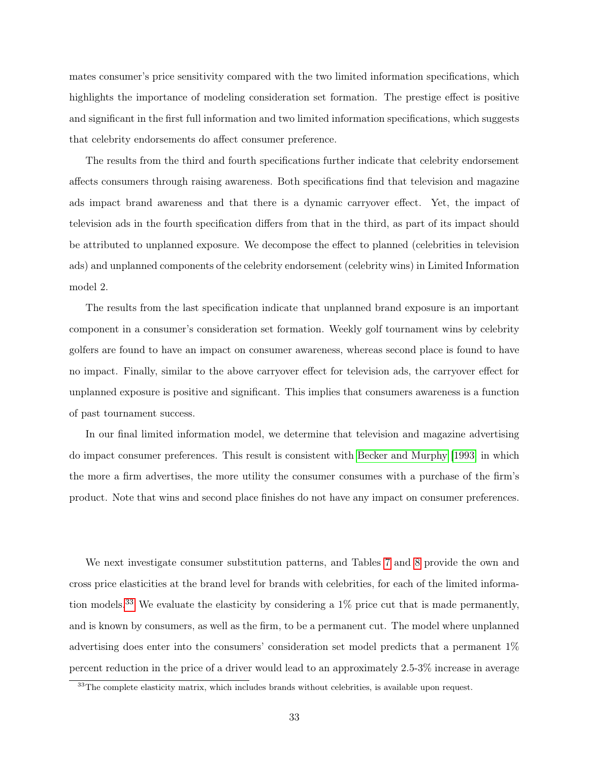mates consumer's price sensitivity compared with the two limited information specifications, which highlights the importance of modeling consideration set formation. The prestige effect is positive and significant in the first full information and two limited information specifications, which suggests that celebrity endorsements do affect consumer preference.

The results from the third and fourth specifications further indicate that celebrity endorsement affects consumers through raising awareness. Both specifications find that television and magazine ads impact brand awareness and that there is a dynamic carryover effect. Yet, the impact of television ads in the fourth specification differs from that in the third, as part of its impact should be attributed to unplanned exposure. We decompose the effect to planned (celebrities in television ads) and unplanned components of the celebrity endorsement (celebrity wins) in Limited Information model 2.

The results from the last specification indicate that unplanned brand exposure is an important component in a consumer's consideration set formation. Weekly golf tournament wins by celebrity golfers are found to have an impact on consumer awareness, whereas second place is found to have no impact. Finally, similar to the above carryover effect for television ads, the carryover effect for unplanned exposure is positive and significant. This implies that consumers awareness is a function of past tournament success.

In our final limited information model, we determine that television and magazine advertising do impact consumer preferences. This result is consistent with [Becker and Murphy](#page-46-1) [\[1993\]](#page-46-1) in which the more a firm advertises, the more utility the consumer consumes with a purchase of the firm's product. Note that wins and second place finishes do not have any impact on consumer preferences.

We next investigate consumer substitution patterns, and Tables [7](#page-34-0) and [8](#page-34-1) provide the own and cross price elasticities at the brand level for brands with celebrities, for each of the limited informa-tion models.<sup>[33](#page-32-0)</sup> We evaluate the elasticity by considering a  $1\%$  price cut that is made permanently, and is known by consumers, as well as the firm, to be a permanent cut. The model where unplanned advertising does enter into the consumers' consideration set model predicts that a permanent 1% percent reduction in the price of a driver would lead to an approximately 2.5-3% increase in average

<span id="page-32-0"></span><sup>&</sup>lt;sup>33</sup>The complete elasticity matrix, which includes brands without celebrities, is available upon request.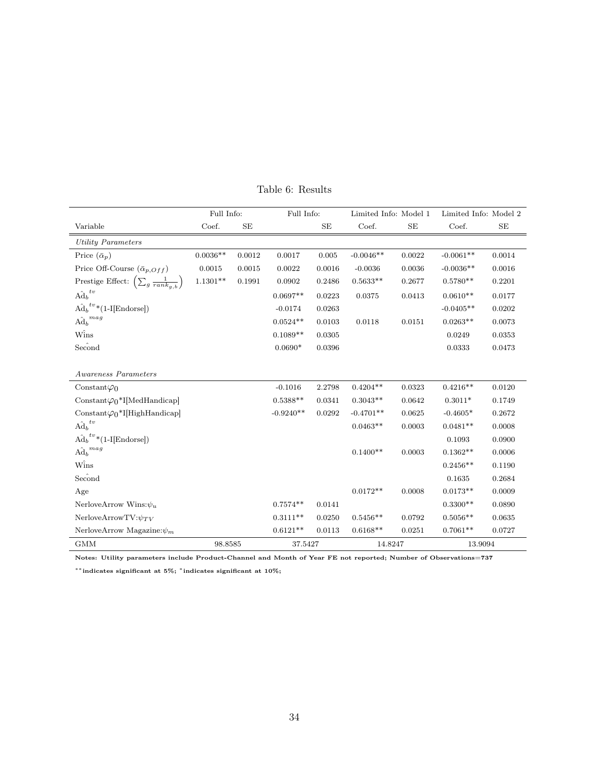<span id="page-33-0"></span>

|                                                               | Full Info: |          | Full Info:  |        | Limited Info: Model 1 |                     | Limited Info: Model 2 |                     |
|---------------------------------------------------------------|------------|----------|-------------|--------|-----------------------|---------------------|-----------------------|---------------------|
| Variable                                                      | Coef.      | $\rm SE$ |             | SE     | Coef.                 | $\operatorname{SE}$ | Coef.                 | $\operatorname{SE}$ |
| <b>Utility Parameters</b>                                     |            |          |             |        |                       |                     |                       |                     |
| Price $(\bar{\alpha}_p)$                                      | $0.0036**$ | 0.0012   | 0.0017      | 0.005  | $-0.0046**$           | 0.0022              | $-0.0061**$           | 0.0014              |
| Price Off-Course $(\bar{\alpha}_{p,Off})$                     | 0.0015     | 0.0015   | 0.0022      | 0.0016 | $-0.0036$             | 0.0036              | $-0.0036**$           | 0.0016              |
| Prestige Effect: $\left(\sum_{g} \frac{1}{rank_{g,b}}\right)$ | $1.1301**$ | 0.1991   | 0.0902      | 0.2486 | $0.5633**$            | 0.2677              | $0.5780**$            | 0.2201              |
| $A\hat{d}_b^{\ t v}$                                          |            |          | $0.0697**$  | 0.0223 | 0.0375                | 0.0413              | $0.0610**$            | 0.0177              |
| $\hat{Ad}_b{}^{tv}$ *(1-I[Endorse])                           |            |          | $-0.0174$   | 0.0263 |                       |                     | $-0.0405**$           | 0.0202              |
| $\hat{\text{Ad}_b}^{mag}$                                     |            |          | $0.0524**$  | 0.0103 | 0.0118                | 0.0151              | $0.0263**$            | 0.0073              |
| $\hat{\text{Wins}}$                                           |            |          | $0.1089**$  | 0.0305 |                       |                     | 0.0249                | 0.0353              |
| Second                                                        |            |          | $0.0690*$   | 0.0396 |                       |                     | 0.0333                | 0.0473              |
|                                                               |            |          |             |        |                       |                     |                       |                     |
| Awareness Parameters                                          |            |          |             |        |                       |                     |                       |                     |
| Constant $\varphi_0$                                          |            |          | $-0.1016$   | 2.2798 | $0.4204**$            | 0.0323              | $0.4216**$            | 0.0120              |
| Constant $\varphi_0$ *I[MedHandicap]                          |            |          | $0.5388**$  | 0.0341 | $0.3043**$            | 0.0642              | $0.3011*$             | 0.1749              |
| Constant $\varphi_0$ *I[HighHandicap]                         |            |          | $-0.9240**$ | 0.0292 | $-0.4701**$           | 0.0625              | $-0.4605*$            | 0.2672              |
| $\hat{\text{Ad}_b}^{tv}$                                      |            |          |             |        | $0.0463**$            | 0.0003              | $0.0481**$            | 0.0008              |
| $\hat{Ad}_b{}^{tv}$ *(1-I[Endorse])                           |            |          |             |        |                       |                     | 0.1093                | 0.0900              |
| $\hat{\text{Ad}_b}^{mag}$                                     |            |          |             |        | $0.1400**$            | 0.0003              | $0.1362**$            | 0.0006              |
| $\hat{\text{Wins}}$                                           |            |          |             |        |                       |                     | $0.2456**$            | 0.1190              |
| Second                                                        |            |          |             |        |                       |                     | 0.1635                | 0.2684              |
| Age                                                           |            |          |             |        | $0.0172**$            | 0.0008              | $0.0173**$            | 0.0009              |
| NerloveArrow Wins: $\psi_u$                                   |            |          | $0.7574**$  | 0.0141 |                       |                     | $0.3300**$            | 0.0890              |
| NerloveArrowTV: $\psi_{TV}$                                   |            |          | $0.3111**$  | 0.0250 | $0.5456**$            | 0.0792              | $0.5056**$            | 0.0635              |
| NerloveArrow Magazine: $\psi_m$                               |            |          | $0.6121**$  | 0.0113 | $0.6168**$            | 0.0251              | $0.7061**$            | 0.0727              |
| <b>GMM</b>                                                    | 98.8585    |          | 37.5427     |        | 14.8247               |                     | 13.9094               |                     |

Table 6: Results

Notes: Utility parameters include Product-Channel and Month of Year FE not reported; Number of Observations=737

 $*$ \*indicates significant at 5%;  $*$ indicates significant at 10%;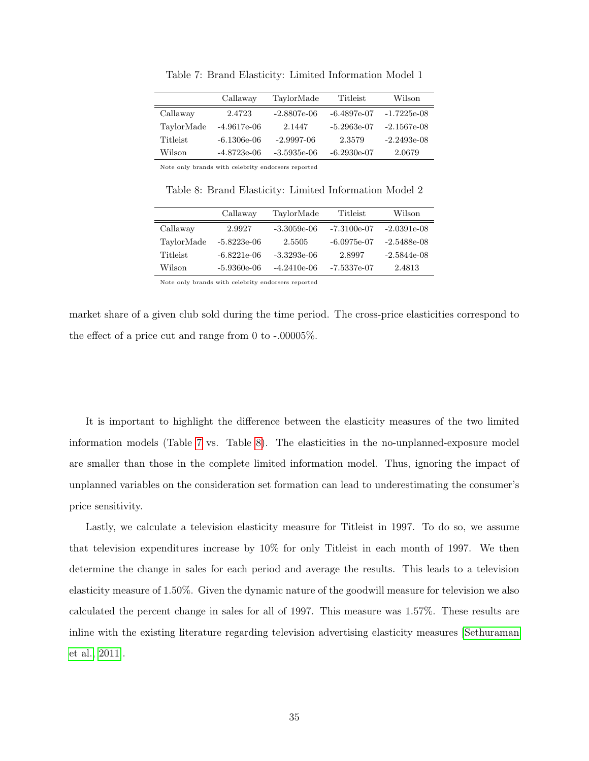<span id="page-34-0"></span>

|            | Callaway          | TaylorMade        | Titleist      | Wilson        |
|------------|-------------------|-------------------|---------------|---------------|
| Callaway   | 2.4723            | $-2.8807$ e $-06$ | $-6.4897e-07$ | $-1.7225e-08$ |
| TaylorMade | $-4.9617$ e $-06$ | 2.1447            | $-5.2963e-07$ | $-2.1567e-08$ |
| Titleist   | $-6.1306$ e $-06$ | $-2.9997-06$      | 2.3579        | $-2.2493e-08$ |
| Wilson     | $-4.8723e-06$     | $-3.5935e-06$     | $-6.2930e-07$ | 2.0679        |

Table 7: Brand Elasticity: Limited Information Model 1

Note only brands with celebrity endorsers reported

Table 8: Brand Elasticity: Limited Information Model 2

<span id="page-34-1"></span>

|                 | Callaway      | TaylorMade    | Titleist      | Wilson        |
|-----------------|---------------|---------------|---------------|---------------|
| Callaway        | 2.9927        | $-3.3059e-06$ | $-7.3100e-07$ | $-2.0391e-08$ |
| TaylorMade      | $-5.8223e-06$ | 2.5505        | $-6.0975e-07$ | $-2.5488e-08$ |
| <b>Titleist</b> | $-6.8221e-06$ | $-3.3293e-06$ | 2.8997        | $-2.5844e-08$ |
| Wilson          | $-5.9360e-06$ | $-4.2410e-06$ | -7.5337e-07   | 2.4813        |

Note only brands with celebrity endorsers reported

market share of a given club sold during the time period. The cross-price elasticities correspond to the effect of a price cut and range from 0 to -.00005%.

It is important to highlight the difference between the elasticity measures of the two limited information models (Table [7](#page-34-0) vs. Table [8\)](#page-34-1). The elasticities in the no-unplanned-exposure model are smaller than those in the complete limited information model. Thus, ignoring the impact of unplanned variables on the consideration set formation can lead to underestimating the consumer's price sensitivity.

Lastly, we calculate a television elasticity measure for Titleist in 1997. To do so, we assume that television expenditures increase by 10% for only Titleist in each month of 1997. We then determine the change in sales for each period and average the results. This leads to a television elasticity measure of 1.50%. Given the dynamic nature of the goodwill measure for television we also calculated the percent change in sales for all of 1997. This measure was 1.57%. These results are inline with the existing literature regarding television advertising elasticity measures [\[Sethuraman](#page-48-11) [et al., 2011\]](#page-48-11).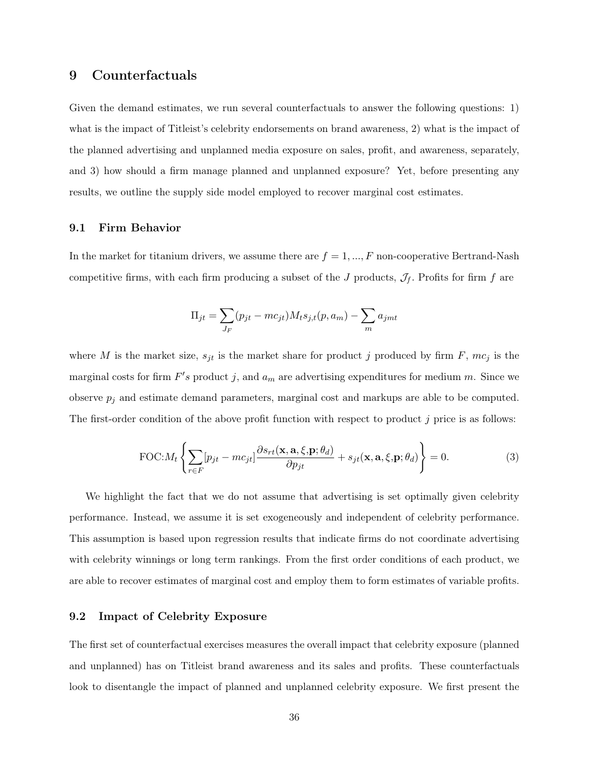## 9 Counterfactuals

Given the demand estimates, we run several counterfactuals to answer the following questions: 1) what is the impact of Titleist's celebrity endorsements on brand awareness, 2) what is the impact of the planned advertising and unplanned media exposure on sales, profit, and awareness, separately, and 3) how should a firm manage planned and unplanned exposure? Yet, before presenting any results, we outline the supply side model employed to recover marginal cost estimates.

#### 9.1 Firm Behavior

In the market for titanium drivers, we assume there are  $f = 1, ..., F$  non-cooperative Bertrand-Nash competitive firms, with each firm producing a subset of the J products,  $\mathcal{J}_f$ . Profits for firm f are

$$
\Pi_{jt} = \sum_{J_F} (p_{jt} - mc_{jt}) M_t s_{j,t}(p, a_m) - \sum_m a_{jmt}
$$

where M is the market size,  $s_{jt}$  is the market share for product j produced by firm F,  $mc_j$  is the marginal costs for firm  $F's$  product j, and  $a_m$  are advertising expenditures for medium m. Since we observe  $p_i$  and estimate demand parameters, marginal cost and markups are able to be computed. The first-order condition of the above profit function with respect to product  $j$  price is as follows:

$$
\text{FOC:} M_t \left\{ \sum_{r \in F} [p_{jt} - mc_{jt}] \frac{\partial s_{rt}(\mathbf{x}, \mathbf{a}, \xi, \mathbf{p}; \theta_d)}{\partial p_{jt}} + s_{jt}(\mathbf{x}, \mathbf{a}, \xi, \mathbf{p}; \theta_d) \right\} = 0. \tag{3}
$$

We highlight the fact that we do not assume that advertising is set optimally given celebrity performance. Instead, we assume it is set exogeneously and independent of celebrity performance. This assumption is based upon regression results that indicate firms do not coordinate advertising with celebrity winnings or long term rankings. From the first order conditions of each product, we are able to recover estimates of marginal cost and employ them to form estimates of variable profits.

#### 9.2 Impact of Celebrity Exposure

The first set of counterfactual exercises measures the overall impact that celebrity exposure (planned and unplanned) has on Titleist brand awareness and its sales and profits. These counterfactuals look to disentangle the impact of planned and unplanned celebrity exposure. We first present the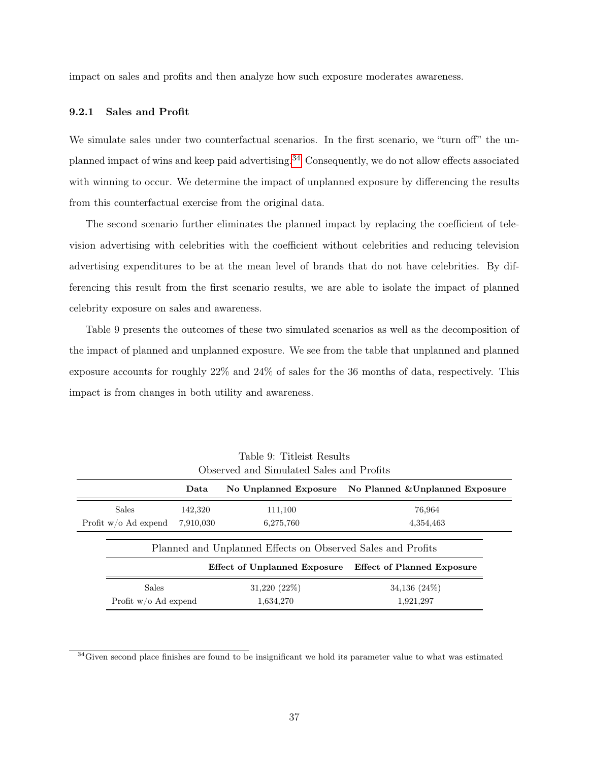impact on sales and profits and then analyze how such exposure moderates awareness.

#### 9.2.1 Sales and Profit

We simulate sales under two counterfactual scenarios. In the first scenario, we "turn off" the unplanned impact of wins and keep paid advertising.[34](#page-36-0) Consequently, we do not allow effects associated with winning to occur. We determine the impact of unplanned exposure by differencing the results from this counterfactual exercise from the original data.

The second scenario further eliminates the planned impact by replacing the coefficient of television advertising with celebrities with the coefficient without celebrities and reducing television advertising expenditures to be at the mean level of brands that do not have celebrities. By differencing this result from the first scenario results, we are able to isolate the impact of planned celebrity exposure on sales and awareness.

Table 9 presents the outcomes of these two simulated scenarios as well as the decomposition of the impact of planned and unplanned exposure. We see from the table that unplanned and planned exposure accounts for roughly 22% and 24% of sales for the 36 months of data, respectively. This impact is from changes in both utility and awareness.

|                                                                                                                                         | Observed and phinanated bands and I folles |                       |                                 |  |  |  |  |
|-----------------------------------------------------------------------------------------------------------------------------------------|--------------------------------------------|-----------------------|---------------------------------|--|--|--|--|
|                                                                                                                                         | Data                                       | No Unplanned Exposure | No Planned & Unplanned Exposure |  |  |  |  |
| <b>Sales</b>                                                                                                                            | 142,320                                    | 111,100               | 76,964                          |  |  |  |  |
| Profit $w/o$ Ad expend                                                                                                                  | 7,910,030                                  | 6,275,760             | 4,354,463                       |  |  |  |  |
| Planned and Unplanned Effects on Observed Sales and Profits<br><b>Effect of Unplanned Exposure</b><br><b>Effect of Planned Exposure</b> |                                            |                       |                                 |  |  |  |  |
| <b>Sales</b>                                                                                                                            |                                            | 31,220(22%)           | $34,136(24\%)$                  |  |  |  |  |
| Profit $w/\sigma$ Ad expend                                                                                                             |                                            | 1,634,270             | 1,921,297                       |  |  |  |  |

Table 9: Titleist Results Observed and Simulated Sales and Profits

<span id="page-36-0"></span><sup>&</sup>lt;sup>34</sup>Given second place finishes are found to be insignificant we hold its parameter value to what was estimated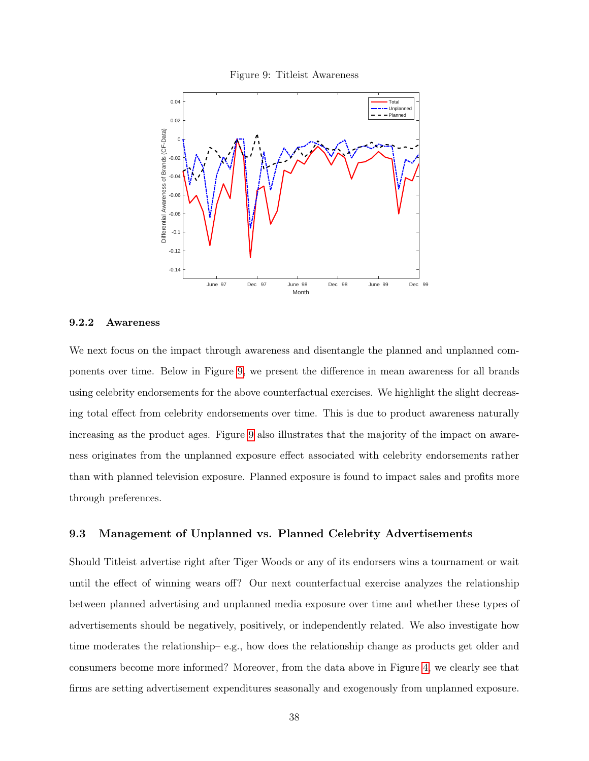Figure 9: Titleist Awareness

<span id="page-37-0"></span>

#### 9.2.2 Awareness

We next focus on the impact through awareness and disentangle the planned and unplanned components over time. Below in Figure [9,](#page-37-0) we present the difference in mean awareness for all brands using celebrity endorsements for the above counterfactual exercises. We highlight the slight decreasing total effect from celebrity endorsements over time. This is due to product awareness naturally increasing as the product ages. Figure [9](#page-37-0) also illustrates that the majority of the impact on awareness originates from the unplanned exposure effect associated with celebrity endorsements rather than with planned television exposure. Planned exposure is found to impact sales and profits more through preferences.

### 9.3 Management of Unplanned vs. Planned Celebrity Advertisements

Should Titleist advertise right after Tiger Woods or any of its endorsers wins a tournament or wait until the effect of winning wears off? Our next counterfactual exercise analyzes the relationship between planned advertising and unplanned media exposure over time and whether these types of advertisements should be negatively, positively, or independently related. We also investigate how time moderates the relationship– e.g., how does the relationship change as products get older and consumers become more informed? Moreover, from the data above in Figure [4,](#page-13-0) we clearly see that firms are setting advertisement expenditures seasonally and exogenously from unplanned exposure.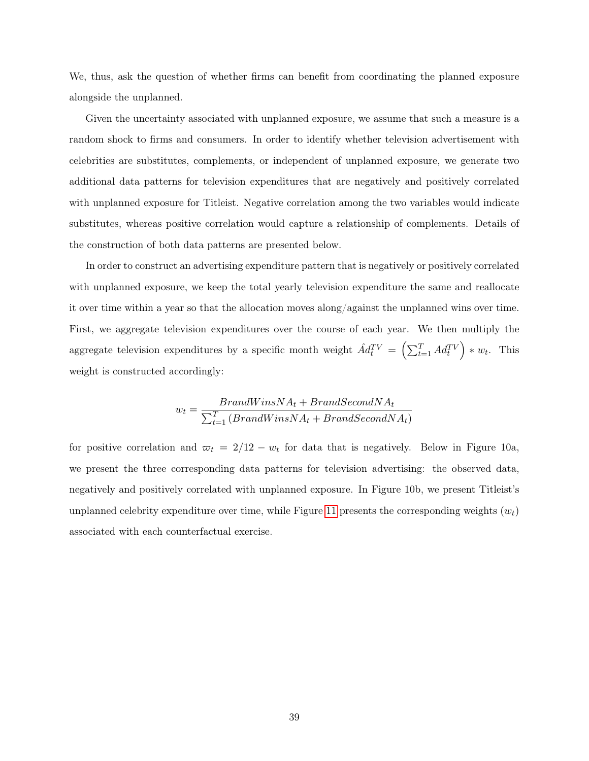We, thus, ask the question of whether firms can benefit from coordinating the planned exposure alongside the unplanned.

Given the uncertainty associated with unplanned exposure, we assume that such a measure is a random shock to firms and consumers. In order to identify whether television advertisement with celebrities are substitutes, complements, or independent of unplanned exposure, we generate two additional data patterns for television expenditures that are negatively and positively correlated with unplanned exposure for Titleist. Negative correlation among the two variables would indicate substitutes, whereas positive correlation would capture a relationship of complements. Details of the construction of both data patterns are presented below.

In order to construct an advertising expenditure pattern that is negatively or positively correlated with unplanned exposure, we keep the total yearly television expenditure the same and reallocate it over time within a year so that the allocation moves along/against the unplanned wins over time. First, we aggregate television expenditures over the course of each year. We then multiply the aggregate television expenditures by a specific month weight  $\hat{A}d_t^{TV} = \left(\sum_{t=1}^T Ad_t^{TV}\right) * w_t$ . This weight is constructed accordingly:

$$
w_t = \frac{BrandWinsNA_t + BrandSecondNA_t}{\sum_{t=1}^{T} (BrandWinsNA_t + BrandSecondNA_t)}
$$

for positive correlation and  $\varpi_t = 2/12 - w_t$  for data that is negatively. Below in Figure 10a, we present the three corresponding data patterns for television advertising: the observed data, negatively and positively correlated with unplanned exposure. In Figure 10b, we present Titleist's unplanned celebrity expenditure over time, while Figure [11](#page-39-0) presents the corresponding weights  $(w_t)$ associated with each counterfactual exercise.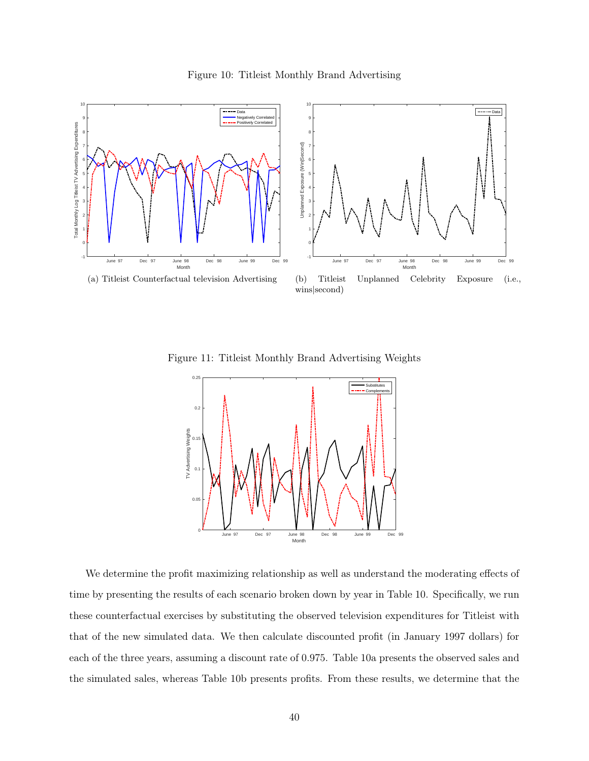

wins|second)

<span id="page-39-0"></span>Figure 11: Titleist Monthly Brand Advertising Weights



We determine the profit maximizing relationship as well as understand the moderating effects of time by presenting the results of each scenario broken down by year in Table 10. Specifically, we run these counterfactual exercises by substituting the observed television expenditures for Titleist with that of the new simulated data. We then calculate discounted profit (in January 1997 dollars) for each of the three years, assuming a discount rate of 0.975. Table 10a presents the observed sales and the simulated sales, whereas Table 10b presents profits. From these results, we determine that the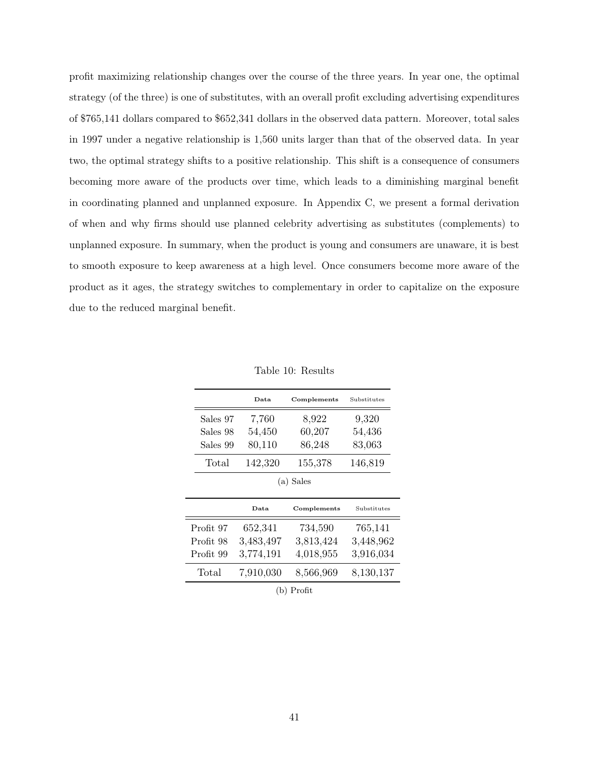profit maximizing relationship changes over the course of the three years. In year one, the optimal strategy (of the three) is one of substitutes, with an overall profit excluding advertising expenditures of \$765,141 dollars compared to \$652,341 dollars in the observed data pattern. Moreover, total sales in 1997 under a negative relationship is 1,560 units larger than that of the observed data. In year two, the optimal strategy shifts to a positive relationship. This shift is a consequence of consumers becoming more aware of the products over time, which leads to a diminishing marginal benefit in coordinating planned and unplanned exposure. In Appendix C, we present a formal derivation of when and why firms should use planned celebrity advertising as substitutes (complements) to unplanned exposure. In summary, when the product is young and consumers are unaware, it is best to smooth exposure to keep awareness at a high level. Once consumers become more aware of the product as it ages, the strategy switches to complementary in order to capitalize on the exposure due to the reduced marginal benefit.

Table 10: Results

|           | Data      | Complements | Substitutes |  |  |  |
|-----------|-----------|-------------|-------------|--|--|--|
| Sales 97  | 7,760     | 8,922       | 9,320       |  |  |  |
| Sales 98  | 54,450    | 60,207      | 54,436      |  |  |  |
| Sales 99  | 80,110    | 86,248      | 83,063      |  |  |  |
| Total     | 142,320   | 155,378     | 146,819     |  |  |  |
| (a) Sales |           |             |             |  |  |  |
|           | Data      | Complements | Substitutes |  |  |  |
| Profit 97 | 652,341   | 734,590     | 765,141     |  |  |  |
| Profit 98 | 3,483,497 | 3,813,424   | 3,448,962   |  |  |  |

| Profit 99 | 3,774,191 | 4,018,955 | 3,916,034 |
|-----------|-----------|-----------|-----------|
| Total     | 7,910,030 | 8,566,969 | 8,130,137 |

(b) Profit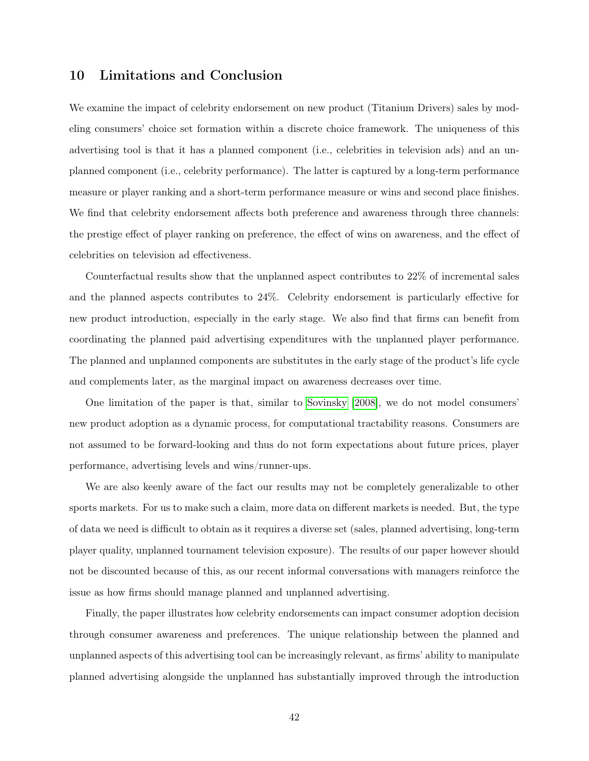## 10 Limitations and Conclusion

We examine the impact of celebrity endorsement on new product (Titanium Drivers) sales by modeling consumers' choice set formation within a discrete choice framework. The uniqueness of this advertising tool is that it has a planned component (i.e., celebrities in television ads) and an unplanned component (i.e., celebrity performance). The latter is captured by a long-term performance measure or player ranking and a short-term performance measure or wins and second place finishes. We find that celebrity endorsement affects both preference and awareness through three channels: the prestige effect of player ranking on preference, the effect of wins on awareness, and the effect of celebrities on television ad effectiveness.

Counterfactual results show that the unplanned aspect contributes to 22% of incremental sales and the planned aspects contributes to 24%. Celebrity endorsement is particularly effective for new product introduction, especially in the early stage. We also find that firms can benefit from coordinating the planned paid advertising expenditures with the unplanned player performance. The planned and unplanned components are substitutes in the early stage of the product's life cycle and complements later, as the marginal impact on awareness decreases over time.

One limitation of the paper is that, similar to [Sovinsky](#page-48-5) [\[2008\]](#page-48-5), we do not model consumers' new product adoption as a dynamic process, for computational tractability reasons. Consumers are not assumed to be forward-looking and thus do not form expectations about future prices, player performance, advertising levels and wins/runner-ups.

We are also keenly aware of the fact our results may not be completely generalizable to other sports markets. For us to make such a claim, more data on different markets is needed. But, the type of data we need is difficult to obtain as it requires a diverse set (sales, planned advertising, long-term player quality, unplanned tournament television exposure). The results of our paper however should not be discounted because of this, as our recent informal conversations with managers reinforce the issue as how firms should manage planned and unplanned advertising.

Finally, the paper illustrates how celebrity endorsements can impact consumer adoption decision through consumer awareness and preferences. The unique relationship between the planned and unplanned aspects of this advertising tool can be increasingly relevant, as firms' ability to manipulate planned advertising alongside the unplanned has substantially improved through the introduction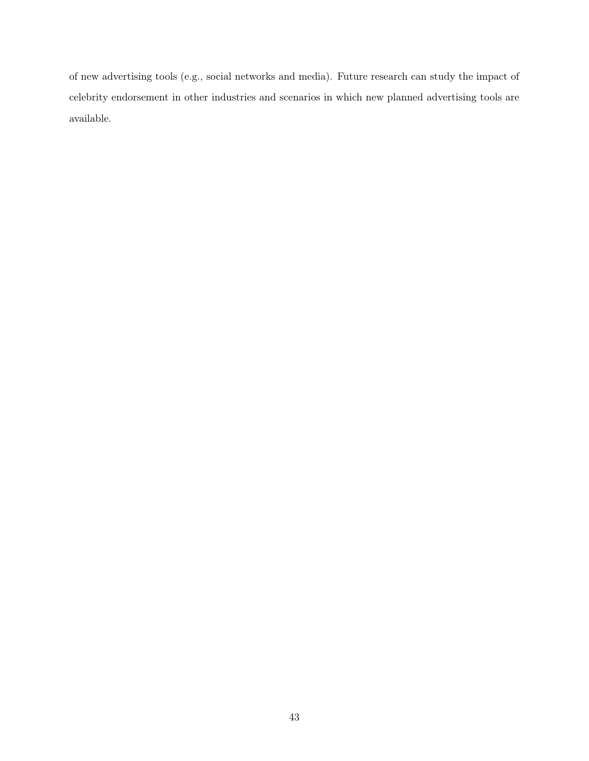of new advertising tools (e.g., social networks and media). Future research can study the impact of celebrity endorsement in other industries and scenarios in which new planned advertising tools are available.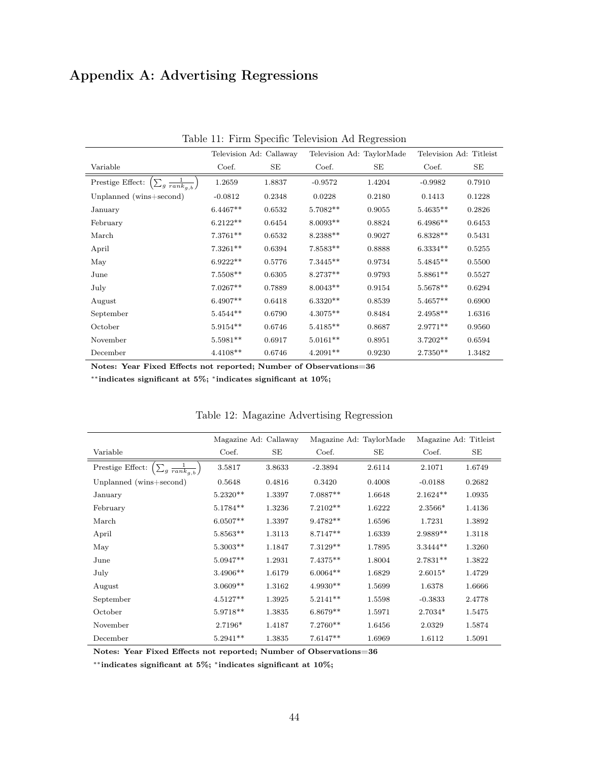# Appendix A: Advertising Regressions

|                                                                  | Television Ad: Callaway |        | Television Ad: TaylorMade |        | Television Ad: Titleist |        |
|------------------------------------------------------------------|-------------------------|--------|---------------------------|--------|-------------------------|--------|
| Variable                                                         | Coef.                   | SE     | Coef.                     | SE     | Coef.                   | SE     |
| Prestige Effect:<br>$\left(\sum_{g} \frac{1}{rank_{g,b}}\right)$ | 1.2659                  | 1.8837 | $-0.9572$                 | 1.4204 | $-0.9982$               | 0.7910 |
| Unplanned (wins+second)                                          | $-0.0812$               | 0.2348 | 0.0228                    | 0.2180 | 0.1413                  | 0.1228 |
| January                                                          | $6.4467**$              | 0.6532 | 5.7082**                  | 0.9055 | $5.4635**$              | 0.2826 |
| February                                                         | $6.2122**$              | 0.6454 | $8.0093**$                | 0.8824 | $6.4986**$              | 0.6453 |
| March                                                            | $7.3761**$              | 0.6532 | 8.2388**                  | 0.9027 | $6.8328**$              | 0.5431 |
| April                                                            | $7.3261**$              | 0.6394 | $7.8583**$                | 0.8888 | $6.3334**$              | 0.5255 |
| May                                                              | $6.9222**$              | 0.5776 | $7.3445**$                | 0.9734 | $5.4845**$              | 0.5500 |
| June                                                             | $7.5508**$              | 0.6305 | 8.2737**                  | 0.9793 | 5.8861**                | 0.5527 |
| July                                                             | $7.0267**$              | 0.7889 | $8.0043**$                | 0.9154 | 5.5678**                | 0.6294 |
| August                                                           | $6.4907**$              | 0.6418 | $6.3320**$                | 0.8539 | $5.4657**$              | 0.6900 |
| September                                                        | $5.4544**$              | 0.6790 | $4.3075**$                | 0.8484 | $2.4958**$              | 1.6316 |
| October                                                          | 5.9154**                | 0.6746 | $5.4185**$                | 0.8687 | $2.9771**$              | 0.9560 |
| November                                                         | 5.5981**                | 0.6917 | $5.0161**$                | 0.8951 | $3.7202**$              | 0.6594 |
| December                                                         | $4.4108**$              | 0.6746 | $4.2091**$                | 0.9230 | $2.7350**$              | 1.3482 |

Table 11: Firm Specific Television Ad Regression

Notes: Year Fixed Effects not reported; Number of Observations=36

∗∗indicates significant at 5%; <sup>∗</sup>indicates significant at 10%;

<span id="page-43-0"></span>

|                                                               | Magazine Ad: Callaway |        | Magazine Ad: TaylorMade |        | Magazine Ad: Titleist |        |
|---------------------------------------------------------------|-----------------------|--------|-------------------------|--------|-----------------------|--------|
| Variable                                                      | Coef.                 | SE     | Coef.                   | SE     | Coef.                 | SE     |
| Prestige Effect: $\left(\sum_{g} \frac{1}{rank_{g,b}}\right)$ | 3.5817                | 3.8633 | $-2.3894$               | 2.6114 | 2.1071                | 1.6749 |
| Unplanned (wins+second)                                       | 0.5648                | 0.4816 | 0.3420                  | 0.4008 | $-0.0188$             | 0.2682 |
| January                                                       | $5.2320**$            | 1.3397 | $7.0887**$              | 1.6648 | $2.1624**$            | 1.0935 |
| February                                                      | $5.1784**$            | 1.3236 | $7.2102**$              | 1.6222 | 2.3566*               | 1.4136 |
| March                                                         | $6.0507**$            | 1.3397 | $9.4782**$              | 1.6596 | 1.7231                | 1.3892 |
| April                                                         | $5.8563**$            | 1.3113 | $8.7147**$              | 1.6339 | $2.9889**$            | 1.3118 |
| May                                                           | $5.3003**$            | 1.1847 | $7.3129**$              | 1.7895 | $3.3444**$            | 1.3260 |
| June                                                          | 5.0947**              | 1.2931 | $7.4375**$              | 1.8004 | $2.7831**$            | 1.3822 |
| July                                                          | 3.4906**              | 1.6179 | $6.0064**$              | 1.6829 | $2.6015*$             | 1.4729 |
| August                                                        | $3.0609**$            | 1.3162 | $4.9930**$              | 1.5699 | 1.6378                | 1.6666 |
| September                                                     | $4.5127**$            | 1.3925 | $5.2141**$              | 1.5598 | $-0.3833$             | 2.4778 |
| October                                                       | 5.9718**              | 1.3835 | $6.8679**$              | 1.5971 | 2.7034*               | 1.5475 |
| November                                                      | 2.7196*               | 1.4187 | $7.2760**$              | 1.6456 | 2.0329                | 1.5874 |
| December                                                      | 5.2941**              | 1.3835 | $7.6147**$              | 1.6969 | 1.6112                | 1.5091 |

#### Table 12: Magazine Advertising Regression

Notes: Year Fixed Effects not reported; Number of Observations=36

∗∗indicates significant at 5%; <sup>∗</sup>indicates significant at 10%;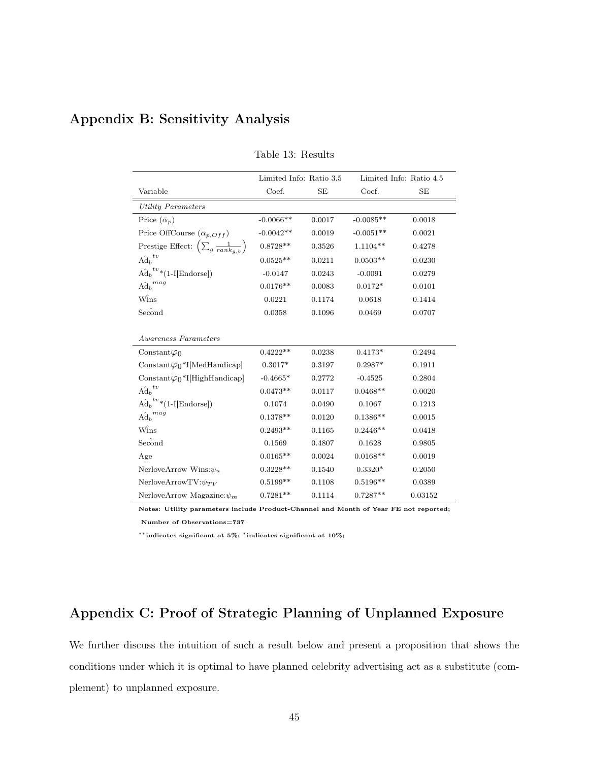|                                                               | Limited Info: Ratio 3.5 |           | Limited Info: Ratio 4.5 |         |  |
|---------------------------------------------------------------|-------------------------|-----------|-------------------------|---------|--|
| Variable                                                      | Coef.                   | <b>SE</b> | Coef.                   | SE      |  |
| Utility Parameters                                            |                         |           |                         |         |  |
| Price $(\bar{\alpha}_p)$                                      | $-0.0066**$             | 0.0017    | $-0.0085**$             | 0.0018  |  |
| Price OffCourse $(\bar{\alpha}_{p,Off})$                      | $-0.0042**$             | 0.0019    | $-0.0051**$             | 0.0021  |  |
| Prestige Effect: $\left(\sum_{g} \frac{1}{rank_{g,b}}\right)$ | $0.8728**$              | 0.3526    | $1.1104**$              | 0.4278  |  |
| $\hat{\mathrm{Ad}_b}^{tv}$                                    | $0.0525**$              | 0.0211    | $0.0503**$              | 0.0230  |  |
| $\hat{Ad}_b{}^{tv}$ *(1-I[Endorse])                           | $-0.0147$               | 0.0243    | $-0.0091$               | 0.0279  |  |
| $\hat{\text{Ad}_b}^{mag}$                                     | $0.0176**$              | 0.0083    | $0.0172*$               | 0.0101  |  |
| Wins                                                          | 0.0221                  | 0.1174    | 0.0618                  | 0.1414  |  |
| Second                                                        | 0.0358                  | 0.1096    | 0.0469                  | 0.0707  |  |
|                                                               |                         |           |                         |         |  |
| Awareness Parameters                                          |                         |           |                         |         |  |
| Constant $\varphi_0$                                          | $0.4222**$              | 0.0238    | $0.4173*$               | 0.2494  |  |
| Constant $\varphi_0^*$ I[MedHandicap]                         | $0.3017*$               | 0.3197    | $0.2987*$               | 0.1911  |  |
| Constant $\varphi_0^*$ I[HighHandicap]                        | $-0.4665*$              | 0.2772    | $-0.4525$               | 0.2804  |  |
| $\hat{\text{Ad}_b}^{tv}$                                      | $0.0473**$              | 0.0117    | $0.0468**$              | 0.0020  |  |
| $\hat{Ad}_b{}^{tv}$ *(1-I[Endorse])                           | 0.1074                  | 0.0490    | 0.1067                  | 0.1213  |  |
| $\hat{\text{Ad}_b}^{mag}$                                     | $0.1378**$              | 0.0120    | $0.1386**$              | 0.0015  |  |
| Wins                                                          | $0.2493**$              | 0.1165    | $0.2446**$              | 0.0418  |  |
| Second                                                        | 0.1569                  | 0.4807    | 0.1628                  | 0.9805  |  |
| Age                                                           | $0.0165**$              | 0.0024    | $0.0168**$              | 0.0019  |  |
| NerloveArrow Wins: $\psi_u$                                   | $0.3228**$              | 0.1540    | $0.3320*$               | 0.2050  |  |
| NerloveArrowTV: $\psi_{TV}$                                   | $0.5199**$              | 0.1108    | $0.5196**$              | 0.0389  |  |
| NerloveArrow Magazine: $\psi_m$                               | $0.7281**$              | 0.1114    | $0.7287**$              | 0.03152 |  |

# Appendix B: Sensitivity Analysis

Table 13: Results

Notes: Utility parameters include Product-Channel and Month of Year FE not reported;

Number of Observations=737

∗∗indicates significant at 5%; <sup>∗</sup>indicates significant at 10%;

# Appendix C: Proof of Strategic Planning of Unplanned Exposure

We further discuss the intuition of such a result below and present a proposition that shows the conditions under which it is optimal to have planned celebrity advertising act as a substitute (complement) to unplanned exposure.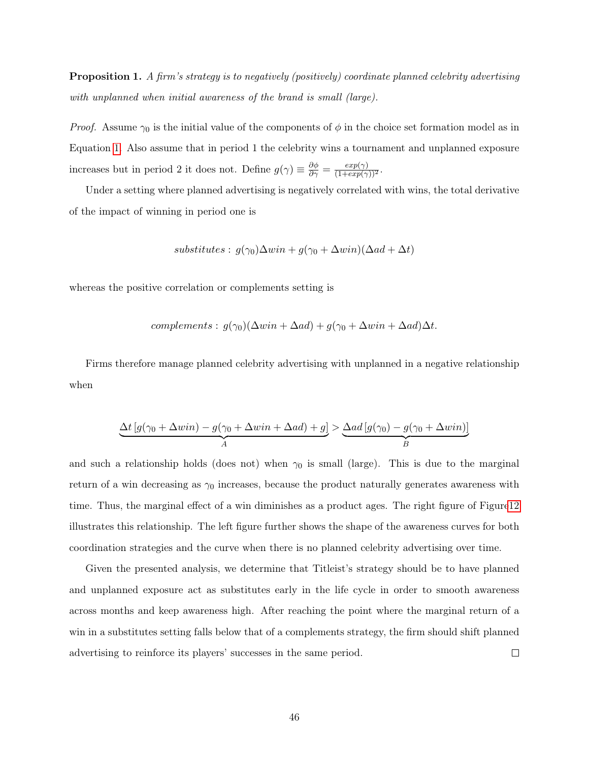**Proposition 1.** A firm's strategy is to negatively (positively) coordinate planned celebrity advertising with unplanned when initial awareness of the brand is small (large).

*Proof.* Assume  $\gamma_0$  is the initial value of the components of  $\phi$  in the choice set formation model as in Equation [1.](#page-22-4) Also assume that in period 1 the celebrity wins a tournament and unplanned exposure increases but in period 2 it does not. Define  $g(\gamma) \equiv \frac{\partial \phi}{\partial \gamma} = \frac{exp(\gamma)}{(1+exp(\gamma))^2}$ .

Under a setting where planned advertising is negatively correlated with wins, the total derivative of the impact of winning in period one is

$$
substitutes: g(\gamma_0)\Delta win + g(\gamma_0 + \Delta win)(\Delta ad + \Delta t)
$$

whereas the positive correlation or complements setting is

$$
complements: g(\gamma_0)(\Delta win + \Delta ad) + g(\gamma_0 + \Delta win + \Delta ad)\Delta t.
$$

Firms therefore manage planned celebrity advertising with unplanned in a negative relationship when

$$
\underbrace{\Delta t \left[ g(\gamma_0 + \Delta win) - g(\gamma_0 + \Delta win + \Delta ad) + g \right]}_{A} > \underbrace{\Delta ad \left[ g(\gamma_0) - g(\gamma_0 + \Delta win) \right]}_{B}
$$

and such a relationship holds (does not) when  $\gamma_0$  is small (large). This is due to the marginal return of a win decreasing as  $\gamma_0$  increases, because the product naturally generates awareness with time. Thus, the marginal effect of a win diminishes as a product ages. The right figure of Figur[e12](#page-46-7) illustrates this relationship. The left figure further shows the shape of the awareness curves for both coordination strategies and the curve when there is no planned celebrity advertising over time.

Given the presented analysis, we determine that Titleist's strategy should be to have planned and unplanned exposure act as substitutes early in the life cycle in order to smooth awareness across months and keep awareness high. After reaching the point where the marginal return of a win in a substitutes setting falls below that of a complements strategy, the firm should shift planned  $\Box$ advertising to reinforce its players' successes in the same period.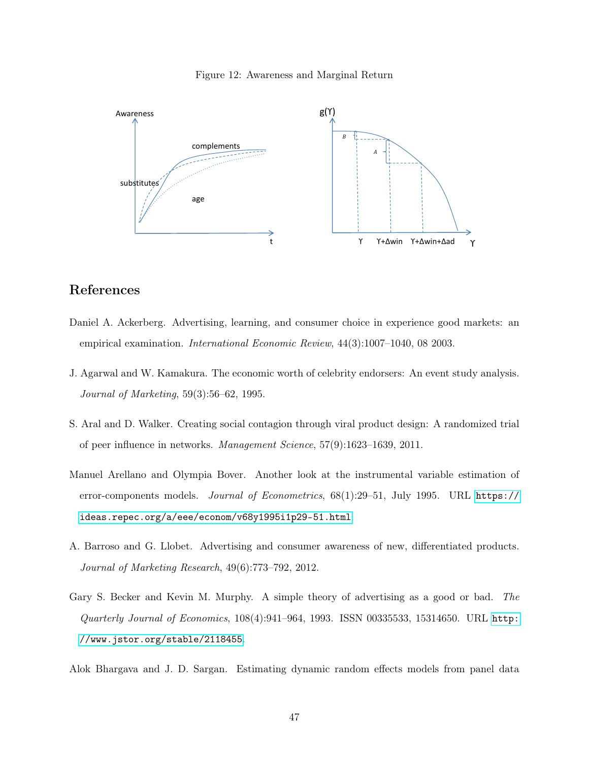

<span id="page-46-7"></span>

## References

- <span id="page-46-3"></span>Daniel A. Ackerberg. Advertising, learning, and consumer choice in experience good markets: an empirical examination. International Economic Review, 44(3):1007–1040, 08 2003.
- <span id="page-46-0"></span>J. Agarwal and W. Kamakura. The economic worth of celebrity endorsers: An event study analysis. Journal of Marketing, 59(3):56–62, 1995.
- <span id="page-46-2"></span>S. Aral and D. Walker. Creating social contagion through viral product design: A randomized trial of peer influence in networks. Management Science, 57(9):1623–1639, 2011.
- <span id="page-46-6"></span>Manuel Arellano and Olympia Bover. Another look at the instrumental variable estimation of error-components models. Journal of Econometrics, 68(1):29-51, July 1995. URL [https://](https://ideas.repec.org/a/eee/econom/v68y1995i1p29-51.html) [ideas.repec.org/a/eee/econom/v68y1995i1p29-51.html](https://ideas.repec.org/a/eee/econom/v68y1995i1p29-51.html).
- <span id="page-46-4"></span>A. Barroso and G. Llobet. Advertising and consumer awareness of new, differentiated products. Journal of Marketing Research, 49(6):773–792, 2012.
- <span id="page-46-1"></span>Gary S. Becker and Kevin M. Murphy. A simple theory of advertising as a good or bad. The Quarterly Journal of Economics, 108(4):941–964, 1993. ISSN 00335533, 15314650. URL [http:](http://www.jstor.org/stable/2118455) [//www.jstor.org/stable/2118455](http://www.jstor.org/stable/2118455).

<span id="page-46-5"></span>Alok Bhargava and J. D. Sargan. Estimating dynamic random effects models from panel data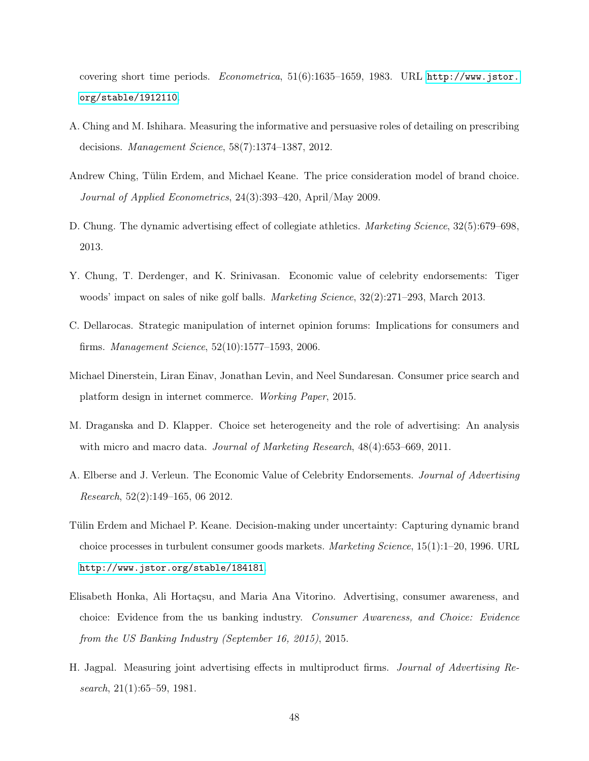covering short time periods. Econometrica, 51(6):1635–1659, 1983. URL [http://www.jstor.](http://www.jstor.org/stable/1912110) [org/stable/1912110](http://www.jstor.org/stable/1912110).

- <span id="page-47-4"></span>A. Ching and M. Ishihara. Measuring the informative and persuasive roles of detailing on prescribing decisions. Management Science, 58(7):1374–1387, 2012.
- <span id="page-47-10"></span>Andrew Ching, Tülin Erdem, and Michael Keane. The price consideration model of brand choice. Journal of Applied Econometrics, 24(3):393–420, April/May 2009.
- <span id="page-47-6"></span>D. Chung. The dynamic advertising effect of collegiate athletics. Marketing Science, 32(5):679–698, 2013.
- <span id="page-47-1"></span>Y. Chung, T. Derdenger, and K. Srinivasan. Economic value of celebrity endorsements: Tiger woods' impact on sales of nike golf balls. *Marketing Science*,  $32(2):271-293$ , March 2013.
- <span id="page-47-3"></span>C. Dellarocas. Strategic manipulation of internet opinion forums: Implications for consumers and firms. Management Science, 52(10):1577–1593, 2006.
- <span id="page-47-9"></span>Michael Dinerstein, Liran Einav, Jonathan Levin, and Neel Sundaresan. Consumer price search and platform design in internet commerce. Working Paper, 2015.
- <span id="page-47-7"></span>M. Draganska and D. Klapper. Choice set heterogeneity and the role of advertising: An analysis with micro and macro data. Journal of Marketing Research,  $48(4)$ :653–669, 2011.
- <span id="page-47-0"></span>A. Elberse and J. Verleun. The Economic Value of Celebrity Endorsements. *Journal of Advertising* Research, 52(2):149–165, 06 2012.
- <span id="page-47-8"></span>Tülin Erdem and Michael P. Keane. Decision-making under uncertainty: Capturing dynamic brand choice processes in turbulent consumer goods markets. Marketing Science, 15(1):1–20, 1996. URL <http://www.jstor.org/stable/184181>.
- <span id="page-47-5"></span>Elisabeth Honka, Ali Hortaçsu, and Maria Ana Vitorino. Advertising, consumer awareness, and choice: Evidence from the us banking industry. Consumer Awareness, and Choice: Evidence from the US Banking Industry (September 16, 2015), 2015.
- <span id="page-47-2"></span>H. Jagpal. Measuring joint advertising effects in multiproduct firms. Journal of Advertising Research,  $21(1):65-59$ , 1981.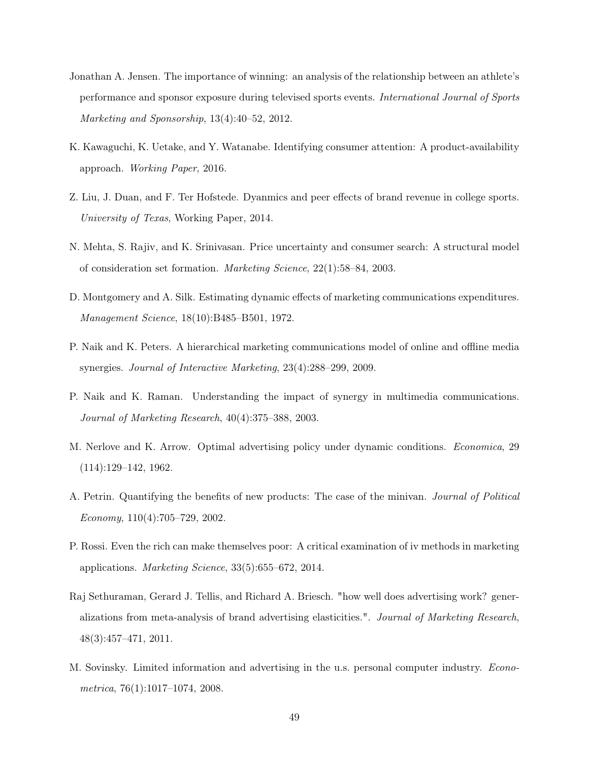- <span id="page-48-0"></span>Jonathan A. Jensen. The importance of winning: an analysis of the relationship between an athlete's performance and sponsor exposure during televised sports events. International Journal of Sports Marketing and Sponsorship, 13(4):40–52, 2012.
- <span id="page-48-7"></span>K. Kawaguchi, K. Uetake, and Y. Watanabe. Identifying consumer attention: A product-availability approach. Working Paper, 2016.
- <span id="page-48-4"></span>Z. Liu, J. Duan, and F. Ter Hofstede. Dyanmics and peer effects of brand revenue in college sports. University of Texas, Working Paper, 2014.
- <span id="page-48-6"></span>N. Mehta, S. Rajiv, and K. Srinivasan. Price uncertainty and consumer search: A structural model of consideration set formation. Marketing Science, 22(1):58–84, 2003.
- <span id="page-48-1"></span>D. Montgomery and A. Silk. Estimating dynamic effects of marketing communications expenditures. Management Science, 18(10):B485–B501, 1972.
- <span id="page-48-2"></span>P. Naik and K. Peters. A hierarchical marketing communications model of online and offline media synergies. Journal of Interactive Marketing, 23(4):288–299, 2009.
- <span id="page-48-3"></span>P. Naik and K. Raman. Understanding the impact of synergy in multimedia communications. Journal of Marketing Research, 40(4):375–388, 2003.
- <span id="page-48-8"></span>M. Nerlove and K. Arrow. Optimal advertising policy under dynamic conditions. Economica, 29 (114):129–142, 1962.
- <span id="page-48-9"></span>A. Petrin. Quantifying the benefits of new products: The case of the minivan. Journal of Political Economy, 110(4):705–729, 2002.
- <span id="page-48-10"></span>P. Rossi. Even the rich can make themselves poor: A critical examination of iv methods in marketing applications. Marketing Science, 33(5):655–672, 2014.
- <span id="page-48-11"></span>Raj Sethuraman, Gerard J. Tellis, and Richard A. Briesch. "how well does advertising work? generalizations from meta-analysis of brand advertising elasticities.". Journal of Marketing Research, 48(3):457–471, 2011.
- <span id="page-48-5"></span>M. Sovinsky. Limited information and advertising in the u.s. personal computer industry. Econometrica, 76(1):1017–1074, 2008.